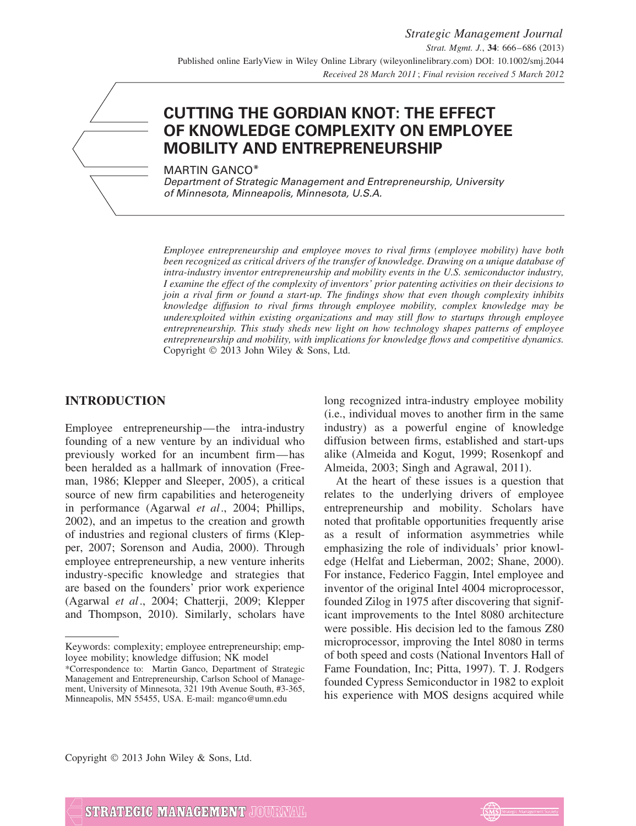

MARTIN GANCO\*

Department of Strategic Management and Entrepreneurship, University of Minnesota, Minneapolis, Minnesota, U.S.A.

*Employee entrepreneurship and employee moves to rival firms (employee mobility) have both been recognized as critical drivers of the transfer of knowledge. Drawing on a unique database of intra-industry inventor entrepreneurship and mobility events in the U.S. semiconductor industry, I examine the effect of the complexity of inventors' prior patenting activities on their decisions to join a rival firm or found a start-up. The findings show that even though complexity inhibits knowledge diffusion to rival firms through employee mobility, complex knowledge may be underexploited within existing organizations and may still flow to startups through employee entrepreneurship. This study sheds new light on how technology shapes patterns of employee entrepreneurship and mobility, with implications for knowledge flows and competitive dynamics.* Copyright  $\odot$  2013 John Wiley & Sons, Ltd.

#### **INTRODUCTION**

Employee entrepreneurship—the intra-industry founding of a new venture by an individual who previously worked for an incumbent firm—has been heralded as a hallmark of innovation (Freeman, 1986; Klepper and Sleeper, 2005), a critical source of new firm capabilities and heterogeneity in performance (Agarwal *et al*., 2004; Phillips, 2002), and an impetus to the creation and growth of industries and regional clusters of firms (Klepper, 2007; Sorenson and Audia, 2000). Through employee entrepreneurship, a new venture inherits industry-specific knowledge and strategies that are based on the founders' prior work experience (Agarwal *et al*., 2004; Chatterji, 2009; Klepper and Thompson, 2010). Similarly, scholars have

long recognized intra-industry employee mobility (i.e., individual moves to another firm in the same industry) as a powerful engine of knowledge diffusion between firms, established and start-ups alike (Almeida and Kogut, 1999; Rosenkopf and Almeida, 2003; Singh and Agrawal, 2011).

At the heart of these issues is a question that relates to the underlying drivers of employee entrepreneurship and mobility. Scholars have noted that profitable opportunities frequently arise as a result of information asymmetries while emphasizing the role of individuals' prior knowledge (Helfat and Lieberman, 2002; Shane, 2000). For instance, Federico Faggin, Intel employee and inventor of the original Intel 4004 microprocessor, founded Zilog in 1975 after discovering that significant improvements to the Intel 8080 architecture were possible. His decision led to the famous Z80 microprocessor, improving the Intel 8080 in terms of both speed and costs (National Inventors Hall of Fame Foundation, Inc; Pitta, 1997). T. J. Rodgers founded Cypress Semiconductor in 1982 to exploit his experience with MOS designs acquired while

Copyright  $©$  2013 John Wiley & Sons, Ltd.



Keywords: complexity; employee entrepreneurship; employee mobility; knowledge diffusion; NK model \*Correspondence to: Martin Ganco, Department of Strategic Management and Entrepreneurship, Carlson School of Management, University of Minnesota, 321 19th Avenue South, #3-365, Minneapolis, MN 55455, USA. E-mail: mganco@umn.edu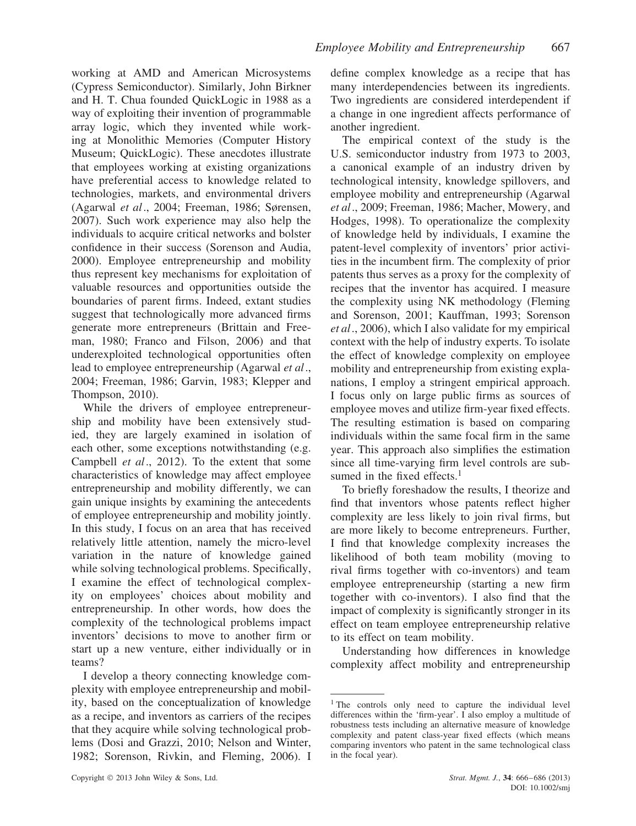working at AMD and American Microsystems (Cypress Semiconductor). Similarly, John Birkner and H. T. Chua founded QuickLogic in 1988 as a way of exploiting their invention of programmable array logic, which they invented while working at Monolithic Memories (Computer History Museum; QuickLogic). These anecdotes illustrate that employees working at existing organizations have preferential access to knowledge related to technologies, markets, and environmental drivers (Agarwal *et al*., 2004; Freeman, 1986; Sørensen, 2007). Such work experience may also help the individuals to acquire critical networks and bolster confidence in their success (Sorenson and Audia, 2000). Employee entrepreneurship and mobility thus represent key mechanisms for exploitation of valuable resources and opportunities outside the boundaries of parent firms. Indeed, extant studies suggest that technologically more advanced firms generate more entrepreneurs (Brittain and Freeman, 1980; Franco and Filson, 2006) and that underexploited technological opportunities often lead to employee entrepreneurship (Agarwal *et al*., 2004; Freeman, 1986; Garvin, 1983; Klepper and Thompson, 2010).

While the drivers of employee entrepreneurship and mobility have been extensively studied, they are largely examined in isolation of each other, some exceptions notwithstanding (e.g. Campbell *et al*., 2012). To the extent that some characteristics of knowledge may affect employee entrepreneurship and mobility differently, we can gain unique insights by examining the antecedents of employee entrepreneurship and mobility jointly. In this study, I focus on an area that has received relatively little attention, namely the micro-level variation in the nature of knowledge gained while solving technological problems. Specifically, I examine the effect of technological complexity on employees' choices about mobility and entrepreneurship. In other words, how does the complexity of the technological problems impact inventors' decisions to move to another firm or start up a new venture, either individually or in teams?

I develop a theory connecting knowledge complexity with employee entrepreneurship and mobility, based on the conceptualization of knowledge as a recipe, and inventors as carriers of the recipes that they acquire while solving technological problems (Dosi and Grazzi, 2010; Nelson and Winter, 1982; Sorenson, Rivkin, and Fleming, 2006). I define complex knowledge as a recipe that has many interdependencies between its ingredients. Two ingredients are considered interdependent if a change in one ingredient affects performance of another ingredient.

The empirical context of the study is the U.S. semiconductor industry from 1973 to 2003, a canonical example of an industry driven by technological intensity, knowledge spillovers, and employee mobility and entrepreneurship (Agarwal *et al*., 2009; Freeman, 1986; Macher, Mowery, and Hodges, 1998). To operationalize the complexity of knowledge held by individuals, I examine the patent-level complexity of inventors' prior activities in the incumbent firm. The complexity of prior patents thus serves as a proxy for the complexity of recipes that the inventor has acquired. I measure the complexity using NK methodology (Fleming and Sorenson, 2001; Kauffman, 1993; Sorenson *et al*., 2006), which I also validate for my empirical context with the help of industry experts. To isolate the effect of knowledge complexity on employee mobility and entrepreneurship from existing explanations, I employ a stringent empirical approach. I focus only on large public firms as sources of employee moves and utilize firm-year fixed effects. The resulting estimation is based on comparing individuals within the same focal firm in the same year. This approach also simplifies the estimation since all time-varying firm level controls are subsumed in the fixed effects. $<sup>1</sup>$ </sup>

To briefly foreshadow the results, I theorize and find that inventors whose patents reflect higher complexity are less likely to join rival firms, but are more likely to become entrepreneurs. Further, I find that knowledge complexity increases the likelihood of both team mobility (moving to rival firms together with co-inventors) and team employee entrepreneurship (starting a new firm together with co-inventors). I also find that the impact of complexity is significantly stronger in its effect on team employee entrepreneurship relative to its effect on team mobility.

Understanding how differences in knowledge complexity affect mobility and entrepreneurship

<sup>&</sup>lt;sup>1</sup> The controls only need to capture the individual level differences within the 'firm-year'. I also employ a multitude of robustness tests including an alternative measure of knowledge complexity and patent class-year fixed effects (which means comparing inventors who patent in the same technological class in the focal year).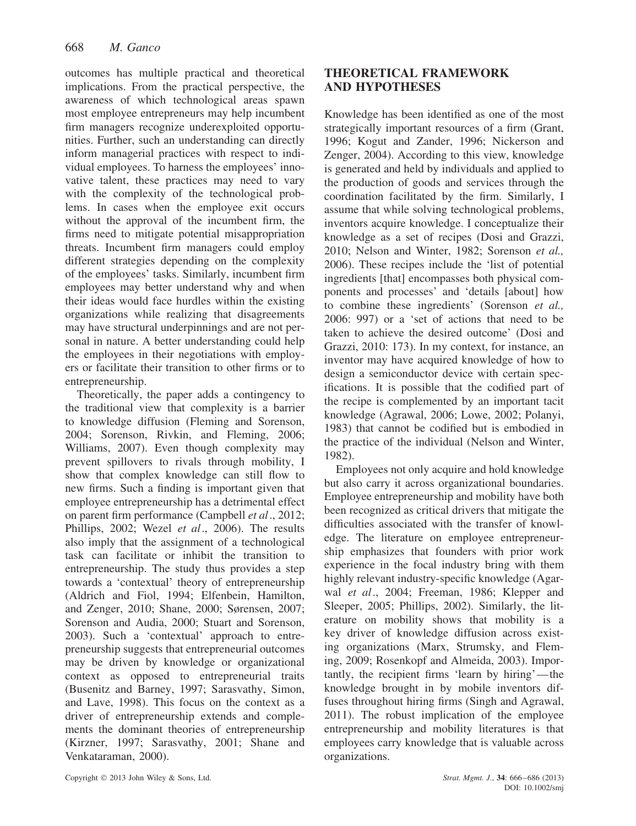outcomes has multiple practical and theoretical implications. From the practical perspective, the awareness of which technological areas spawn most employee entrepreneurs may help incumbent firm managers recognize underexploited opportunities. Further, such an understanding can directly inform managerial practices with respect to individual employees. To harness the employees' innovative talent, these practices may need to vary with the complexity of the technological problems. In cases when the employee exit occurs without the approval of the incumbent firm, the firms need to mitigate potential misappropriation threats. Incumbent firm managers could employ different strategies depending on the complexity of the employees' tasks. Similarly, incumbent firm employees may better understand why and when their ideas would face hurdles within the existing organizations while realizing that disagreements may have structural underpinnings and are not personal in nature. A better understanding could help the employees in their negotiations with employers or facilitate their transition to other firms or to entrepreneurship.

Theoretically, the paper adds a contingency to the traditional view that complexity is a barrier to knowledge diffusion (Fleming and Sorenson, 2004; Sorenson, Rivkin, and Fleming, 2006; Williams, 2007). Even though complexity may prevent spillovers to rivals through mobility, I show that complex knowledge can still flow to new firms. Such a finding is important given that employee entrepreneurship has a detrimental effect on parent firm performance (Campbell *et al*., 2012; Phillips, 2002; Wezel *et al*., 2006). The results also imply that the assignment of a technological task can facilitate or inhibit the transition to entrepreneurship. The study thus provides a step towards a 'contextual' theory of entrepreneurship (Aldrich and Fiol, 1994; Elfenbein, Hamilton, and Zenger, 2010; Shane, 2000; Sørensen, 2007; Sorenson and Audia, 2000; Stuart and Sorenson, 2003). Such a 'contextual' approach to entrepreneurship suggests that entrepreneurial outcomes may be driven by knowledge or organizational context as opposed to entrepreneurial traits (Busenitz and Barney, 1997; Sarasvathy, Simon, and Lave, 1998). This focus on the context as a driver of entrepreneurship extends and complements the dominant theories of entrepreneurship (Kirzner, 1997; Sarasvathy, 2001; Shane and Venkataraman, 2000).

### **THEORETICAL FRAMEWORK AND HYPOTHESES**

Knowledge has been identified as one of the most strategically important resources of a firm (Grant, 1996; Kogut and Zander, 1996; Nickerson and Zenger, 2004). According to this view, knowledge is generated and held by individuals and applied to the production of goods and services through the coordination facilitated by the firm. Similarly, I assume that while solving technological problems, inventors acquire knowledge. I conceptualize their knowledge as a set of recipes (Dosi and Grazzi, 2010; Nelson and Winter, 1982; Sorenson *et al.,* 2006). These recipes include the 'list of potential ingredients [that] encompasses both physical components and processes' and 'details [about] how to combine these ingredients' (Sorenson *et al.,* 2006: 997) or a 'set of actions that need to be taken to achieve the desired outcome' (Dosi and Grazzi, 2010: 173). In my context, for instance, an inventor may have acquired knowledge of how to design a semiconductor device with certain specifications. It is possible that the codified part of the recipe is complemented by an important tacit knowledge (Agrawal, 2006; Lowe, 2002; Polanyi, 1983) that cannot be codified but is embodied in the practice of the individual (Nelson and Winter, 1982).

Employees not only acquire and hold knowledge but also carry it across organizational boundaries. Employee entrepreneurship and mobility have both been recognized as critical drivers that mitigate the difficulties associated with the transfer of knowledge. The literature on employee entrepreneurship emphasizes that founders with prior work experience in the focal industry bring with them highly relevant industry-specific knowledge (Agarwal *et al*., 2004; Freeman, 1986; Klepper and Sleeper, 2005; Phillips, 2002). Similarly, the literature on mobility shows that mobility is a key driver of knowledge diffusion across existing organizations (Marx, Strumsky, and Fleming, 2009; Rosenkopf and Almeida, 2003). Importantly, the recipient firms 'learn by hiring'—the knowledge brought in by mobile inventors diffuses throughout hiring firms (Singh and Agrawal, 2011). The robust implication of the employee entrepreneurship and mobility literatures is that employees carry knowledge that is valuable across organizations.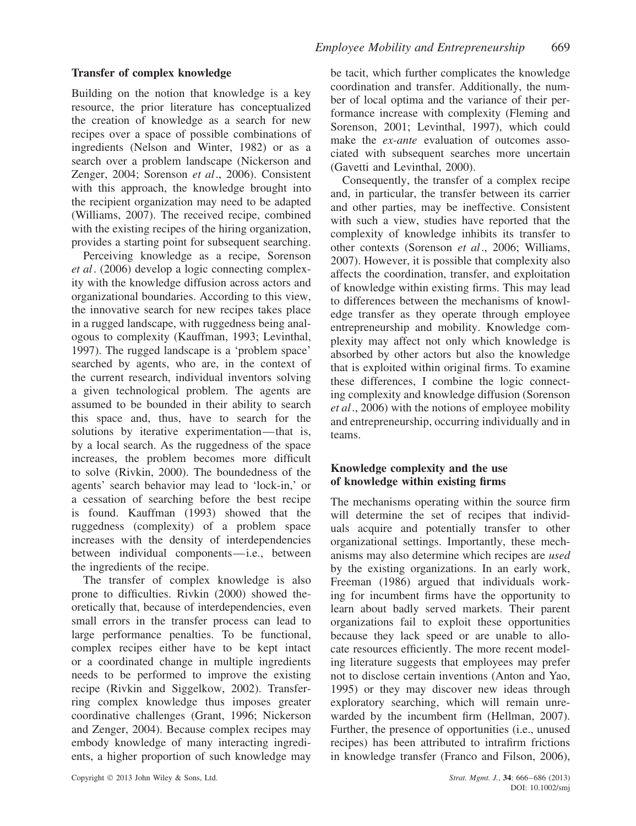#### **Transfer of complex knowledge**

Building on the notion that knowledge is a key resource, the prior literature has conceptualized the creation of knowledge as a search for new recipes over a space of possible combinations of ingredients (Nelson and Winter, 1982) or as a search over a problem landscape (Nickerson and Zenger, 2004; Sorenson *et al*., 2006). Consistent with this approach, the knowledge brought into the recipient organization may need to be adapted (Williams, 2007). The received recipe, combined with the existing recipes of the hiring organization, provides a starting point for subsequent searching.

Perceiving knowledge as a recipe, Sorenson *et al*. (2006) develop a logic connecting complexity with the knowledge diffusion across actors and organizational boundaries. According to this view, the innovative search for new recipes takes place in a rugged landscape, with ruggedness being analogous to complexity (Kauffman, 1993; Levinthal, 1997). The rugged landscape is a 'problem space' searched by agents, who are, in the context of the current research, individual inventors solving a given technological problem. The agents are assumed to be bounded in their ability to search this space and, thus, have to search for the solutions by iterative experimentation—that is, by a local search. As the ruggedness of the space increases, the problem becomes more difficult to solve (Rivkin, 2000). The boundedness of the agents' search behavior may lead to 'lock-in,' or a cessation of searching before the best recipe is found. Kauffman (1993) showed that the ruggedness (complexity) of a problem space increases with the density of interdependencies between individual components—i.e., between the ingredients of the recipe.

The transfer of complex knowledge is also prone to difficulties. Rivkin (2000) showed theoretically that, because of interdependencies, even small errors in the transfer process can lead to large performance penalties. To be functional, complex recipes either have to be kept intact or a coordinated change in multiple ingredients needs to be performed to improve the existing recipe (Rivkin and Siggelkow, 2002). Transferring complex knowledge thus imposes greater coordinative challenges (Grant, 1996; Nickerson and Zenger, 2004). Because complex recipes may embody knowledge of many interacting ingredients, a higher proportion of such knowledge may be tacit, which further complicates the knowledge coordination and transfer. Additionally, the number of local optima and the variance of their performance increase with complexity (Fleming and Sorenson, 2001; Levinthal, 1997), which could make the *ex-ante* evaluation of outcomes associated with subsequent searches more uncertain (Gavetti and Levinthal, 2000).

Consequently, the transfer of a complex recipe and, in particular, the transfer between its carrier and other parties, may be ineffective. Consistent with such a view, studies have reported that the complexity of knowledge inhibits its transfer to other contexts (Sorenson *et al*., 2006; Williams, 2007). However, it is possible that complexity also affects the coordination, transfer, and exploitation of knowledge within existing firms. This may lead to differences between the mechanisms of knowledge transfer as they operate through employee entrepreneurship and mobility. Knowledge complexity may affect not only which knowledge is absorbed by other actors but also the knowledge that is exploited within original firms. To examine these differences, I combine the logic connecting complexity and knowledge diffusion (Sorenson *et al*., 2006) with the notions of employee mobility and entrepreneurship, occurring individually and in teams.

### **Knowledge complexity and the use of knowledge within existing firms**

The mechanisms operating within the source firm will determine the set of recipes that individuals acquire and potentially transfer to other organizational settings. Importantly, these mechanisms may also determine which recipes are *used* by the existing organizations. In an early work, Freeman (1986) argued that individuals working for incumbent firms have the opportunity to learn about badly served markets. Their parent organizations fail to exploit these opportunities because they lack speed or are unable to allocate resources efficiently. The more recent modeling literature suggests that employees may prefer not to disclose certain inventions (Anton and Yao, 1995) or they may discover new ideas through exploratory searching, which will remain unrewarded by the incumbent firm (Hellman, 2007). Further, the presence of opportunities (i.e., unused recipes) has been attributed to intrafirm frictions in knowledge transfer (Franco and Filson, 2006),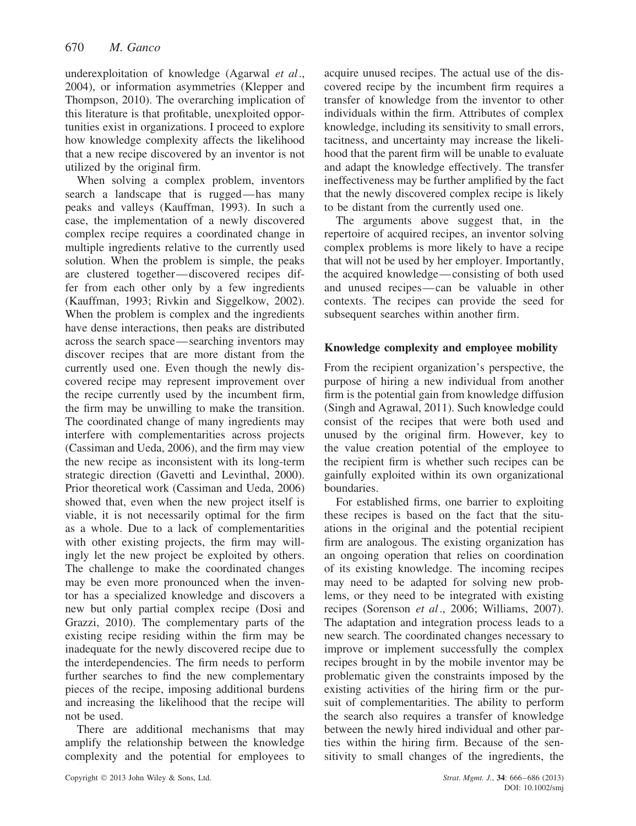underexploitation of knowledge (Agarwal *et al*., 2004), or information asymmetries (Klepper and Thompson, 2010). The overarching implication of this literature is that profitable, unexploited opportunities exist in organizations. I proceed to explore how knowledge complexity affects the likelihood that a new recipe discovered by an inventor is not utilized by the original firm.

When solving a complex problem, inventors search a landscape that is rugged—has many peaks and valleys (Kauffman, 1993). In such a case, the implementation of a newly discovered complex recipe requires a coordinated change in multiple ingredients relative to the currently used solution. When the problem is simple, the peaks are clustered together—discovered recipes differ from each other only by a few ingredients (Kauffman, 1993; Rivkin and Siggelkow, 2002). When the problem is complex and the ingredients have dense interactions, then peaks are distributed across the search space—searching inventors may discover recipes that are more distant from the currently used one. Even though the newly discovered recipe may represent improvement over the recipe currently used by the incumbent firm, the firm may be unwilling to make the transition. The coordinated change of many ingredients may interfere with complementarities across projects (Cassiman and Ueda, 2006), and the firm may view the new recipe as inconsistent with its long-term strategic direction (Gavetti and Levinthal, 2000). Prior theoretical work (Cassiman and Ueda, 2006) showed that, even when the new project itself is viable, it is not necessarily optimal for the firm as a whole. Due to a lack of complementarities with other existing projects, the firm may willingly let the new project be exploited by others. The challenge to make the coordinated changes may be even more pronounced when the inventor has a specialized knowledge and discovers a new but only partial complex recipe (Dosi and Grazzi, 2010). The complementary parts of the existing recipe residing within the firm may be inadequate for the newly discovered recipe due to the interdependencies. The firm needs to perform further searches to find the new complementary pieces of the recipe, imposing additional burdens and increasing the likelihood that the recipe will not be used.

There are additional mechanisms that may amplify the relationship between the knowledge complexity and the potential for employees to

acquire unused recipes. The actual use of the discovered recipe by the incumbent firm requires a transfer of knowledge from the inventor to other individuals within the firm. Attributes of complex knowledge, including its sensitivity to small errors, tacitness, and uncertainty may increase the likelihood that the parent firm will be unable to evaluate and adapt the knowledge effectively. The transfer ineffectiveness may be further amplified by the fact that the newly discovered complex recipe is likely to be distant from the currently used one.

The arguments above suggest that, in the repertoire of acquired recipes, an inventor solving complex problems is more likely to have a recipe that will not be used by her employer. Importantly, the acquired knowledge—consisting of both used and unused recipes—can be valuable in other contexts. The recipes can provide the seed for subsequent searches within another firm.

### **Knowledge complexity and employee mobility**

From the recipient organization's perspective, the purpose of hiring a new individual from another firm is the potential gain from knowledge diffusion (Singh and Agrawal, 2011). Such knowledge could consist of the recipes that were both used and unused by the original firm. However, key to the value creation potential of the employee to the recipient firm is whether such recipes can be gainfully exploited within its own organizational boundaries.

For established firms, one barrier to exploiting these recipes is based on the fact that the situations in the original and the potential recipient firm are analogous. The existing organization has an ongoing operation that relies on coordination of its existing knowledge. The incoming recipes may need to be adapted for solving new problems, or they need to be integrated with existing recipes (Sorenson *et al*., 2006; Williams, 2007). The adaptation and integration process leads to a new search. The coordinated changes necessary to improve or implement successfully the complex recipes brought in by the mobile inventor may be problematic given the constraints imposed by the existing activities of the hiring firm or the pursuit of complementarities. The ability to perform the search also requires a transfer of knowledge between the newly hired individual and other parties within the hiring firm. Because of the sensitivity to small changes of the ingredients, the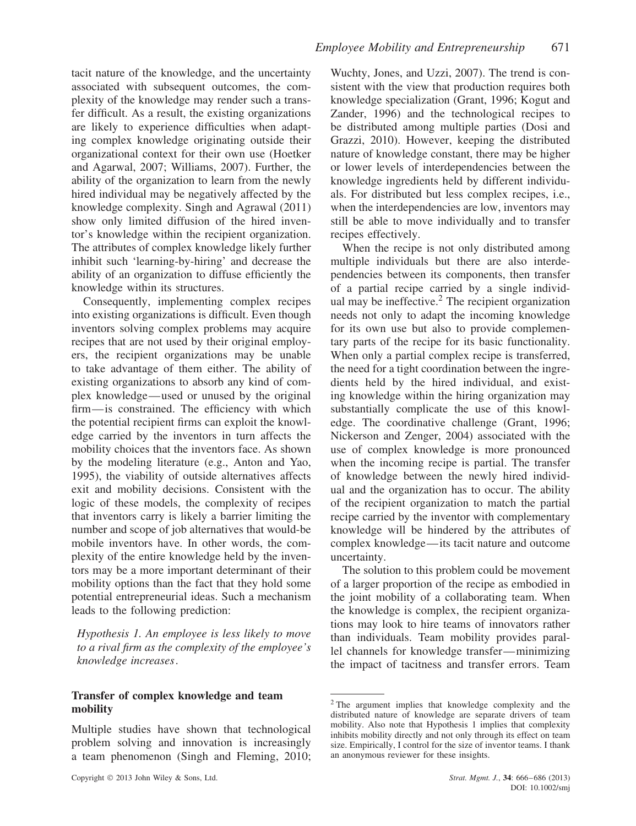tacit nature of the knowledge, and the uncertainty associated with subsequent outcomes, the complexity of the knowledge may render such a transfer difficult. As a result, the existing organizations are likely to experience difficulties when adapting complex knowledge originating outside their organizational context for their own use (Hoetker and Agarwal, 2007; Williams, 2007). Further, the ability of the organization to learn from the newly hired individual may be negatively affected by the knowledge complexity. Singh and Agrawal (2011) show only limited diffusion of the hired inventor's knowledge within the recipient organization. The attributes of complex knowledge likely further inhibit such 'learning-by-hiring' and decrease the ability of an organization to diffuse efficiently the knowledge within its structures.

Consequently, implementing complex recipes into existing organizations is difficult. Even though inventors solving complex problems may acquire recipes that are not used by their original employers, the recipient organizations may be unable to take advantage of them either. The ability of existing organizations to absorb any kind of complex knowledge—used or unused by the original firm—is constrained. The efficiency with which the potential recipient firms can exploit the knowledge carried by the inventors in turn affects the mobility choices that the inventors face. As shown by the modeling literature (e.g., Anton and Yao, 1995), the viability of outside alternatives affects exit and mobility decisions. Consistent with the logic of these models, the complexity of recipes that inventors carry is likely a barrier limiting the number and scope of job alternatives that would-be mobile inventors have. In other words, the complexity of the entire knowledge held by the inventors may be a more important determinant of their mobility options than the fact that they hold some potential entrepreneurial ideas. Such a mechanism leads to the following prediction:

*Hypothesis 1. An employee is less likely to move to a rival firm as the complexity of the employee's knowledge increases*.

#### **Transfer of complex knowledge and team mobility**

Multiple studies have shown that technological problem solving and innovation is increasingly a team phenomenon (Singh and Fleming, 2010;

Wuchty, Jones, and Uzzi, 2007). The trend is consistent with the view that production requires both knowledge specialization (Grant, 1996; Kogut and Zander, 1996) and the technological recipes to be distributed among multiple parties (Dosi and Grazzi, 2010). However, keeping the distributed nature of knowledge constant, there may be higher or lower levels of interdependencies between the knowledge ingredients held by different individuals. For distributed but less complex recipes, i.e., when the interdependencies are low, inventors may still be able to move individually and to transfer recipes effectively.

When the recipe is not only distributed among multiple individuals but there are also interdependencies between its components, then transfer of a partial recipe carried by a single individual may be ineffective. $<sup>2</sup>$  The recipient organization</sup> needs not only to adapt the incoming knowledge for its own use but also to provide complementary parts of the recipe for its basic functionality. When only a partial complex recipe is transferred, the need for a tight coordination between the ingredients held by the hired individual, and existing knowledge within the hiring organization may substantially complicate the use of this knowledge. The coordinative challenge (Grant, 1996; Nickerson and Zenger, 2004) associated with the use of complex knowledge is more pronounced when the incoming recipe is partial. The transfer of knowledge between the newly hired individual and the organization has to occur. The ability of the recipient organization to match the partial recipe carried by the inventor with complementary knowledge will be hindered by the attributes of complex knowledge—its tacit nature and outcome uncertainty.

The solution to this problem could be movement of a larger proportion of the recipe as embodied in the joint mobility of a collaborating team. When the knowledge is complex, the recipient organizations may look to hire teams of innovators rather than individuals. Team mobility provides parallel channels for knowledge transfer—minimizing the impact of tacitness and transfer errors. Team

<sup>2</sup> The argument implies that knowledge complexity and the distributed nature of knowledge are separate drivers of team mobility. Also note that Hypothesis 1 implies that complexity inhibits mobility directly and not only through its effect on team size. Empirically, I control for the size of inventor teams. I thank an anonymous reviewer for these insights.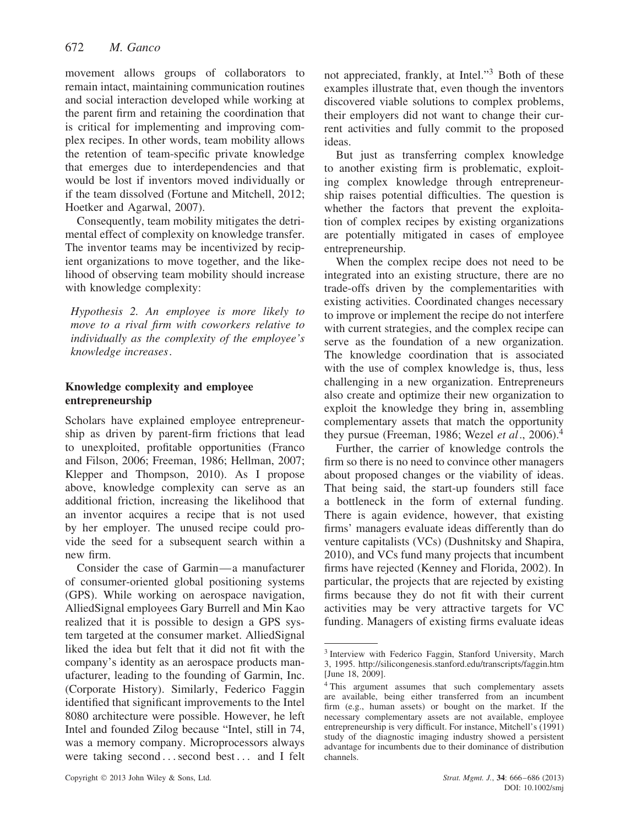movement allows groups of collaborators to remain intact, maintaining communication routines and social interaction developed while working at the parent firm and retaining the coordination that is critical for implementing and improving complex recipes. In other words, team mobility allows the retention of team-specific private knowledge that emerges due to interdependencies and that would be lost if inventors moved individually or if the team dissolved (Fortune and Mitchell, 2012; Hoetker and Agarwal, 2007).

Consequently, team mobility mitigates the detrimental effect of complexity on knowledge transfer. The inventor teams may be incentivized by recipient organizations to move together, and the likelihood of observing team mobility should increase with knowledge complexity:

*Hypothesis 2. An employee is more likely to move to a rival firm with coworkers relative to individually as the complexity of the employee's knowledge increases*.

# **Knowledge complexity and employee entrepreneurship**

Scholars have explained employee entrepreneurship as driven by parent-firm frictions that lead to unexploited, profitable opportunities (Franco and Filson, 2006; Freeman, 1986; Hellman, 2007; Klepper and Thompson, 2010). As I propose above, knowledge complexity can serve as an additional friction, increasing the likelihood that an inventor acquires a recipe that is not used by her employer. The unused recipe could provide the seed for a subsequent search within a new firm.

Consider the case of Garmin—a manufacturer of consumer-oriented global positioning systems (GPS). While working on aerospace navigation, AlliedSignal employees Gary Burrell and Min Kao realized that it is possible to design a GPS system targeted at the consumer market. AlliedSignal liked the idea but felt that it did not fit with the company's identity as an aerospace products manufacturer, leading to the founding of Garmin, Inc. (Corporate History). Similarly, Federico Faggin identified that significant improvements to the Intel 8080 architecture were possible. However, he left Intel and founded Zilog because "Intel, still in 74, was a memory company. Microprocessors always were taking second *...*second best *...* and I felt not appreciated, frankly, at Intel."<sup>3</sup> Both of these examples illustrate that, even though the inventors discovered viable solutions to complex problems, their employers did not want to change their current activities and fully commit to the proposed ideas.

But just as transferring complex knowledge to another existing firm is problematic, exploiting complex knowledge through entrepreneurship raises potential difficulties. The question is whether the factors that prevent the exploitation of complex recipes by existing organizations are potentially mitigated in cases of employee entrepreneurship.

When the complex recipe does not need to be integrated into an existing structure, there are no trade-offs driven by the complementarities with existing activities. Coordinated changes necessary to improve or implement the recipe do not interfere with current strategies, and the complex recipe can serve as the foundation of a new organization. The knowledge coordination that is associated with the use of complex knowledge is, thus, less challenging in a new organization. Entrepreneurs also create and optimize their new organization to exploit the knowledge they bring in, assembling complementary assets that match the opportunity they pursue (Freeman, 1986; Wezel *et al*., 2006).4

Further, the carrier of knowledge controls the firm so there is no need to convince other managers about proposed changes or the viability of ideas. That being said, the start-up founders still face a bottleneck in the form of external funding. There is again evidence, however, that existing firms' managers evaluate ideas differently than do venture capitalists (VCs) (Dushnitsky and Shapira, 2010), and VCs fund many projects that incumbent firms have rejected (Kenney and Florida, 2002). In particular, the projects that are rejected by existing firms because they do not fit with their current activities may be very attractive targets for VC funding. Managers of existing firms evaluate ideas

<sup>3</sup> Interview with Federico Faggin, Stanford University, March 3, 1995. http://silicongenesis.stanford.edu/transcripts/faggin.htm [June 18, 2009].

<sup>4</sup> This argument assumes that such complementary assets are available, being either transferred from an incumbent firm (e.g., human assets) or bought on the market. If the necessary complementary assets are not available, employee entrepreneurship is very difficult. For instance, Mitchell's (1991) study of the diagnostic imaging industry showed a persistent advantage for incumbents due to their dominance of distribution channels.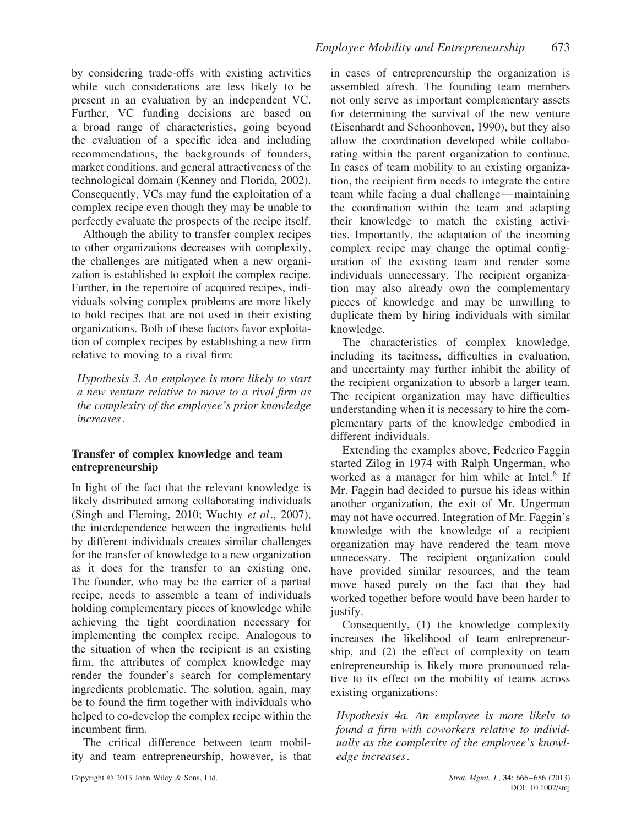by considering trade-offs with existing activities while such considerations are less likely to be present in an evaluation by an independent VC. Further, VC funding decisions are based on a broad range of characteristics, going beyond the evaluation of a specific idea and including recommendations, the backgrounds of founders, market conditions, and general attractiveness of the technological domain (Kenney and Florida, 2002). Consequently, VCs may fund the exploitation of a complex recipe even though they may be unable to perfectly evaluate the prospects of the recipe itself.

Although the ability to transfer complex recipes to other organizations decreases with complexity, the challenges are mitigated when a new organization is established to exploit the complex recipe. Further, in the repertoire of acquired recipes, individuals solving complex problems are more likely to hold recipes that are not used in their existing organizations. Both of these factors favor exploitation of complex recipes by establishing a new firm relative to moving to a rival firm:

*Hypothesis 3. An employee is more likely to start a new venture relative to move to a rival firm as the complexity of the employee's prior knowledge increases*.

### **Transfer of complex knowledge and team entrepreneurship**

In light of the fact that the relevant knowledge is likely distributed among collaborating individuals (Singh and Fleming, 2010; Wuchty *et al*., 2007), the interdependence between the ingredients held by different individuals creates similar challenges for the transfer of knowledge to a new organization as it does for the transfer to an existing one. The founder, who may be the carrier of a partial recipe, needs to assemble a team of individuals holding complementary pieces of knowledge while achieving the tight coordination necessary for implementing the complex recipe. Analogous to the situation of when the recipient is an existing firm, the attributes of complex knowledge may render the founder's search for complementary ingredients problematic. The solution, again, may be to found the firm together with individuals who helped to co-develop the complex recipe within the incumbent firm.

The critical difference between team mobility and team entrepreneurship, however, is that in cases of entrepreneurship the organization is assembled afresh. The founding team members not only serve as important complementary assets for determining the survival of the new venture (Eisenhardt and Schoonhoven, 1990), but they also allow the coordination developed while collaborating within the parent organization to continue. In cases of team mobility to an existing organization, the recipient firm needs to integrate the entire team while facing a dual challenge—maintaining the coordination within the team and adapting their knowledge to match the existing activities. Importantly, the adaptation of the incoming complex recipe may change the optimal configuration of the existing team and render some individuals unnecessary. The recipient organization may also already own the complementary pieces of knowledge and may be unwilling to duplicate them by hiring individuals with similar knowledge.

The characteristics of complex knowledge, including its tacitness, difficulties in evaluation, and uncertainty may further inhibit the ability of the recipient organization to absorb a larger team. The recipient organization may have difficulties understanding when it is necessary to hire the complementary parts of the knowledge embodied in different individuals.

Extending the examples above, Federico Faggin started Zilog in 1974 with Ralph Ungerman, who worked as a manager for him while at Intel.<sup>6</sup> If Mr. Faggin had decided to pursue his ideas within another organization, the exit of Mr. Ungerman may not have occurred. Integration of Mr. Faggin's knowledge with the knowledge of a recipient organization may have rendered the team move unnecessary. The recipient organization could have provided similar resources, and the team move based purely on the fact that they had worked together before would have been harder to justify.

Consequently, (1) the knowledge complexity increases the likelihood of team entrepreneurship, and (2) the effect of complexity on team entrepreneurship is likely more pronounced relative to its effect on the mobility of teams across existing organizations:

*Hypothesis 4a. An employee is more likely to found a firm with coworkers relative to individually as the complexity of the employee's knowledge increases*.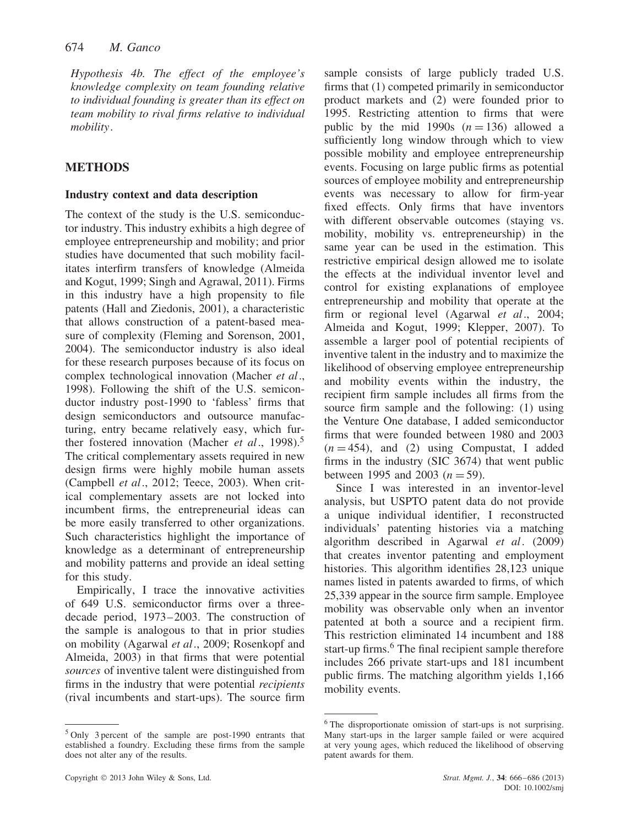*Hypothesis 4b. The effect of the employee's knowledge complexity on team founding relative to individual founding is greater than its effect on team mobility to rival firms relative to individual mobility*.

# **METHODS**

### **Industry context and data description**

The context of the study is the U.S. semiconductor industry. This industry exhibits a high degree of employee entrepreneurship and mobility; and prior studies have documented that such mobility facilitates interfirm transfers of knowledge (Almeida and Kogut, 1999; Singh and Agrawal, 2011). Firms in this industry have a high propensity to file patents (Hall and Ziedonis, 2001), a characteristic that allows construction of a patent-based measure of complexity (Fleming and Sorenson, 2001, 2004). The semiconductor industry is also ideal for these research purposes because of its focus on complex technological innovation (Macher *et al*., 1998). Following the shift of the U.S. semiconductor industry post-1990 to 'fabless' firms that design semiconductors and outsource manufacturing, entry became relatively easy, which further fostered innovation (Macher *et al.*, 1998).<sup>5</sup> The critical complementary assets required in new design firms were highly mobile human assets (Campbell *et al*., 2012; Teece, 2003). When critical complementary assets are not locked into incumbent firms, the entrepreneurial ideas can be more easily transferred to other organizations. Such characteristics highlight the importance of knowledge as a determinant of entrepreneurship and mobility patterns and provide an ideal setting for this study.

Empirically, I trace the innovative activities of 649 U.S. semiconductor firms over a threedecade period, 1973–2003. The construction of the sample is analogous to that in prior studies on mobility (Agarwal *et al*., 2009; Rosenkopf and Almeida, 2003) in that firms that were potential *sources* of inventive talent were distinguished from firms in the industry that were potential *recipients* (rival incumbents and start-ups). The source firm sample consists of large publicly traded U.S. firms that (1) competed primarily in semiconductor product markets and (2) were founded prior to 1995. Restricting attention to firms that were public by the mid 1990s  $(n = 136)$  allowed a sufficiently long window through which to view possible mobility and employee entrepreneurship events. Focusing on large public firms as potential sources of employee mobility and entrepreneurship events was necessary to allow for firm-year fixed effects. Only firms that have inventors with different observable outcomes (staying vs. mobility, mobility vs. entrepreneurship) in the same year can be used in the estimation. This restrictive empirical design allowed me to isolate the effects at the individual inventor level and control for existing explanations of employee entrepreneurship and mobility that operate at the firm or regional level (Agarwal *et al*., 2004; Almeida and Kogut, 1999; Klepper, 2007). To assemble a larger pool of potential recipients of inventive talent in the industry and to maximize the likelihood of observing employee entrepreneurship and mobility events within the industry, the recipient firm sample includes all firms from the source firm sample and the following: (1) using the Venture One database, I added semiconductor firms that were founded between 1980 and 2003  $(n = 454)$ , and (2) using Compustat, I added firms in the industry (SIC 3674) that went public between 1995 and 2003  $(n = 59)$ .

Since I was interested in an inventor-level analysis, but USPTO patent data do not provide a unique individual identifier, I reconstructed individuals' patenting histories via a matching algorithm described in Agarwal *et al*. (2009) that creates inventor patenting and employment histories. This algorithm identifies 28,123 unique names listed in patents awarded to firms, of which 25,339 appear in the source firm sample. Employee mobility was observable only when an inventor patented at both a source and a recipient firm. This restriction eliminated 14 incumbent and 188 start-up firms.<sup>6</sup> The final recipient sample therefore includes 266 private start-ups and 181 incumbent public firms. The matching algorithm yields 1,166 mobility events.

<sup>5</sup> Only 3 percent of the sample are post-1990 entrants that established a foundry. Excluding these firms from the sample does not alter any of the results.

<sup>&</sup>lt;sup>6</sup> The disproportionate omission of start-ups is not surprising. Many start-ups in the larger sample failed or were acquired at very young ages, which reduced the likelihood of observing patent awards for them.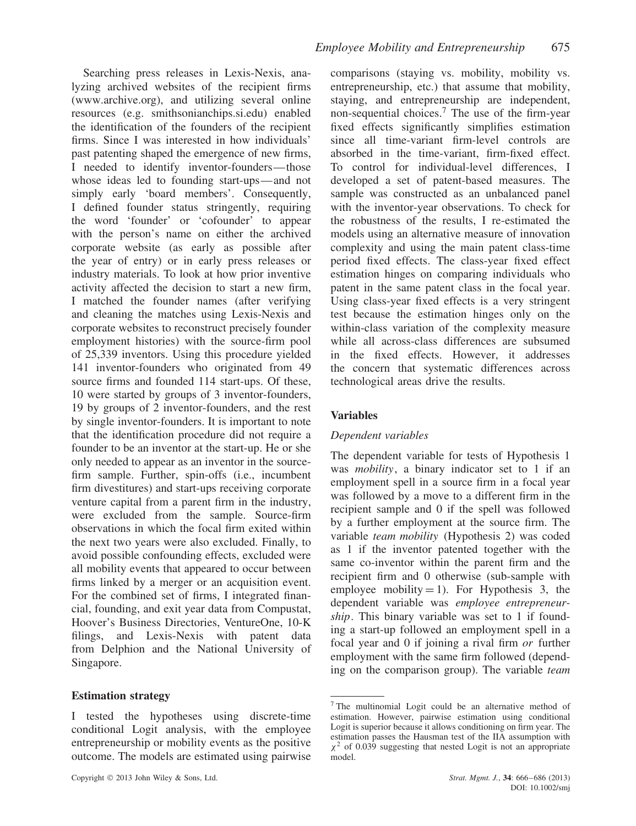comparisons (staying vs. mobility, mobility vs. entrepreneurship, etc.) that assume that mobility, staying, and entrepreneurship are independent, non-sequential choices.<sup>7</sup> The use of the firm-year fixed effects significantly simplifies estimation since all time-variant firm-level controls are absorbed in the time-variant, firm-fixed effect. To control for individual-level differences, I developed a set of patent-based measures. The sample was constructed as an unbalanced panel with the inventor-year observations. To check for the robustness of the results, I re-estimated the models using an alternative measure of innovation complexity and using the main patent class-time period fixed effects. The class-year fixed effect estimation hinges on comparing individuals who patent in the same patent class in the focal year. Using class-year fixed effects is a very stringent test because the estimation hinges only on the within-class variation of the complexity measure while all across-class differences are subsumed in the fixed effects. However, it addresses the concern that systematic differences across

Searching press releases in Lexis-Nexis, analyzing archived websites of the recipient firms (www.archive.org), and utilizing several online resources (e.g. smithsonianchips.si.edu) enabled the identification of the founders of the recipient firms. Since I was interested in how individuals' past patenting shaped the emergence of new firms, I needed to identify inventor-founders—those whose ideas led to founding start-ups—and not simply early 'board members'. Consequently, I defined founder status stringently, requiring the word 'founder' or 'cofounder' to appear with the person's name on either the archived corporate website (as early as possible after the year of entry) or in early press releases or industry materials. To look at how prior inventive activity affected the decision to start a new firm, I matched the founder names (after verifying and cleaning the matches using Lexis-Nexis and corporate websites to reconstruct precisely founder employment histories) with the source-firm pool of 25,339 inventors. Using this procedure yielded 141 inventor-founders who originated from 49 source firms and founded 114 start-ups. Of these, 10 were started by groups of 3 inventor-founders, 19 by groups of 2 inventor-founders, and the rest by single inventor-founders. It is important to note that the identification procedure did not require a founder to be an inventor at the start-up. He or she only needed to appear as an inventor in the sourcefirm sample. Further, spin-offs (i.e., incumbent firm divestitures) and start-ups receiving corporate venture capital from a parent firm in the industry, were excluded from the sample. Source-firm observations in which the focal firm exited within the next two years were also excluded. Finally, to avoid possible confounding effects, excluded were all mobility events that appeared to occur between firms linked by a merger or an acquisition event. For the combined set of firms, I integrated financial, founding, and exit year data from Compustat, Hoover's Business Directories, VentureOne, 10-K filings, and Lexis-Nexis with patent data from Delphion and the National University of Singapore.

#### **Estimation strategy**

I tested the hypotheses using discrete-time conditional Logit analysis, with the employee entrepreneurship or mobility events as the positive outcome. The models are estimated using pairwise

was *mobility*, a binary indicator set to 1 if an employment spell in a source firm in a focal year was followed by a move to a different firm in the recipient sample and 0 if the spell was followed by a further employment at the source firm. The variable *team mobility* (Hypothesis 2) was coded as 1 if the inventor patented together with the same co-inventor within the parent firm and the recipient firm and 0 otherwise (sub-sample with

**Variables**

*Dependent variables*

employee mobility = 1). For Hypothesis 3, the dependent variable was *employee entrepreneurship*. This binary variable was set to 1 if founding a start-up followed an employment spell in a focal year and 0 if joining a rival firm *or* further

The dependent variable for tests of Hypothesis 1

technological areas drive the results.

employment with the same firm followed (depending on the comparison group). The variable *team*

<sup>7</sup> The multinomial Logit could be an alternative method of estimation. However, pairwise estimation using conditional Logit is superior because it allows conditioning on firm year. The estimation passes the Hausman test of the IIA assumption with *χ*<sup>2</sup> of 0.039 suggesting that nested Logit is not an appropriate model.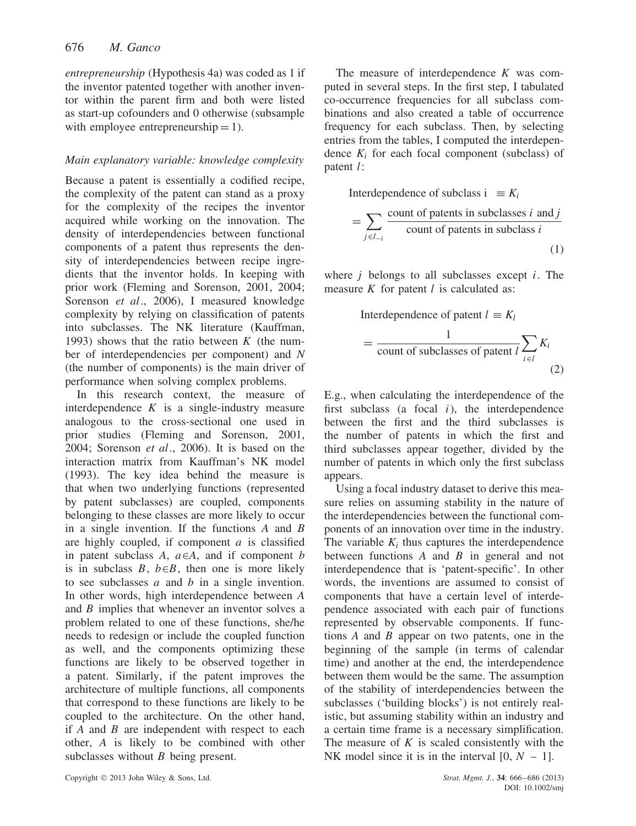*entrepreneurship* (Hypothesis 4a) was coded as 1 if the inventor patented together with another inventor within the parent firm and both were listed as start-up cofounders and 0 otherwise (subsample with employee entrepreneurship  $= 1$ ).

## *Main explanatory variable: knowledge complexity*

Because a patent is essentially a codified recipe, the complexity of the patent can stand as a proxy for the complexity of the recipes the inventor acquired while working on the innovation. The density of interdependencies between functional components of a patent thus represents the density of interdependencies between recipe ingredients that the inventor holds. In keeping with prior work (Fleming and Sorenson, 2001, 2004; Sorenson *et al*., 2006), I measured knowledge complexity by relying on classification of patents into subclasses. The NK literature (Kauffman, 1993) shows that the ratio between *K* (the number of interdependencies per component) and *N* (the number of components) is the main driver of performance when solving complex problems.

In this research context, the measure of interdependence *K* is a single-industry measure analogous to the cross-sectional one used in prior studies (Fleming and Sorenson, 2001, 2004; Sorenson *et al*., 2006). It is based on the interaction matrix from Kauffman's NK model (1993). The key idea behind the measure is that when two underlying functions (represented by patent subclasses) are coupled, components belonging to these classes are more likely to occur in a single invention. If the functions *A* and *B* are highly coupled, if component *a* is classified in patent subclass *A*, *a*∈*A*, and if component *b* is in subclass  $B, b \in B$ , then one is more likely to see subclasses *a* and *b* in a single invention. In other words, high interdependence between *A* and *B* implies that whenever an inventor solves a problem related to one of these functions, she/he needs to redesign or include the coupled function as well, and the components optimizing these functions are likely to be observed together in a patent. Similarly, if the patent improves the architecture of multiple functions, all components that correspond to these functions are likely to be coupled to the architecture. On the other hand, if *A* and *B* are independent with respect to each other, *A* is likely to be combined with other subclasses without *B* being present.

The measure of interdependence *K* was computed in several steps. In the first step, I tabulated co-occurrence frequencies for all subclass combinations and also created a table of occurrence frequency for each subclass. Then, by selecting entries from the tables, I computed the interdependence  $K_i$  for each focal component (subclass) of patent *l*:

Interdependence of subclass 
$$
i \equiv K_i
$$
  
= 
$$
\sum_{j \in l_{-i}} \frac{\text{count of patients in subclasses } i \text{ and } j}{\text{count of patients in subclass } i}
$$
(1)

where *j* belongs to all subclasses except *i*. The measure *K* for patent *l* is calculated as:

Interdependence of patent  $l = K_l$ 

$$
= \frac{1}{\text{count of subclasses of patent } l} \sum_{i \in l} K_i
$$
\n(2)

E.g., when calculating the interdependence of the first subclass (a focal *i*), the interdependence between the first and the third subclasses is the number of patents in which the first and third subclasses appear together, divided by the number of patents in which only the first subclass appears.

Using a focal industry dataset to derive this measure relies on assuming stability in the nature of the interdependencies between the functional components of an innovation over time in the industry. The variable  $K_i$  thus captures the interdependence between functions *A* and *B* in general and not interdependence that is 'patent-specific'. In other words, the inventions are assumed to consist of components that have a certain level of interdependence associated with each pair of functions represented by observable components. If functions *A* and *B* appear on two patents, one in the beginning of the sample (in terms of calendar time) and another at the end, the interdependence between them would be the same. The assumption of the stability of interdependencies between the subclasses ('building blocks') is not entirely realistic, but assuming stability within an industry and a certain time frame is a necessary simplification. The measure of  $K$  is scaled consistently with the NK model since it is in the interval  $[0, N - 1]$ .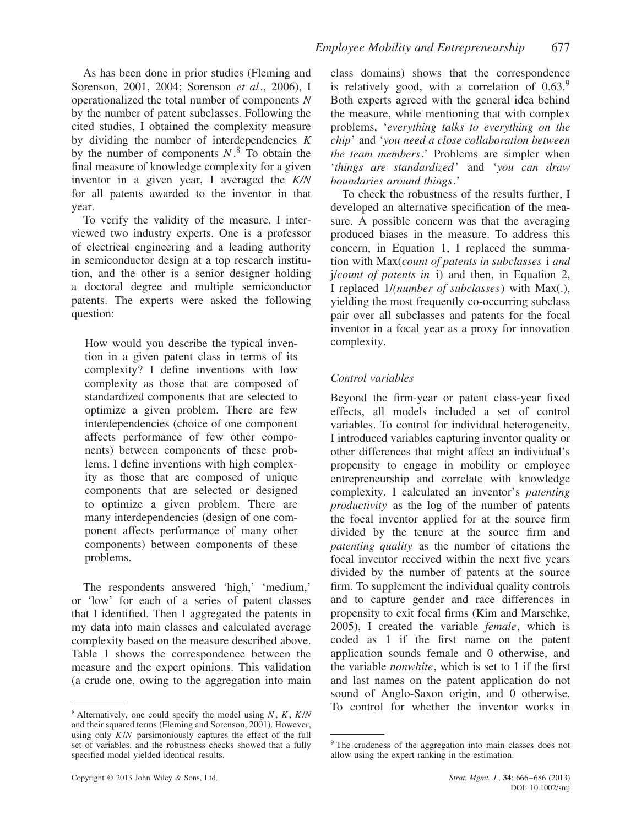As has been done in prior studies (Fleming and Sorenson, 2001, 2004; Sorenson *et al*., 2006), I operationalized the total number of components *N* by the number of patent subclasses. Following the cited studies, I obtained the complexity measure by dividing the number of interdependencies *K* by the number of components *N*. <sup>8</sup> To obtain the final measure of knowledge complexity for a given inventor in a given year, I averaged the *K/N* for all patents awarded to the inventor in that year.

To verify the validity of the measure, I interviewed two industry experts. One is a professor of electrical engineering and a leading authority in semiconductor design at a top research institution, and the other is a senior designer holding a doctoral degree and multiple semiconductor patents. The experts were asked the following question:

How would you describe the typical invention in a given patent class in terms of its complexity? I define inventions with low complexity as those that are composed of standardized components that are selected to optimize a given problem. There are few interdependencies (choice of one component affects performance of few other components) between components of these problems. I define inventions with high complexity as those that are composed of unique components that are selected or designed to optimize a given problem. There are many interdependencies (design of one component affects performance of many other components) between components of these problems.

The respondents answered 'high,' 'medium,' or 'low' for each of a series of patent classes that I identified. Then I aggregated the patents in my data into main classes and calculated average complexity based on the measure described above. Table 1 shows the correspondence between the measure and the expert opinions. This validation (a crude one, owing to the aggregation into main

class domains) shows that the correspondence is relatively good, with a correlation of  $0.63<sup>9</sup>$ . Both experts agreed with the general idea behind the measure, while mentioning that with complex problems, '*everything talks to everything on the chip*' and '*you need a close collaboration between the team members*.' Problems are simpler when '*things are standardized*' and '*you can draw boundaries around things*.'

To check the robustness of the results further, I developed an alternative specification of the measure. A possible concern was that the averaging produced biases in the measure. To address this concern, in Equation 1, I replaced the summation with Max(*count of patents in subclasses* i *and* j/*count of patents in* i) and then, in Equation 2, I replaced 1/*(number of subclasses*) with Max(.), yielding the most frequently co-occurring subclass pair over all subclasses and patents for the focal inventor in a focal year as a proxy for innovation complexity.

### *Control variables*

Beyond the firm-year or patent class-year fixed effects, all models included a set of control variables. To control for individual heterogeneity, I introduced variables capturing inventor quality or other differences that might affect an individual's propensity to engage in mobility or employee entrepreneurship and correlate with knowledge complexity. I calculated an inventor's *patenting productivity* as the log of the number of patents the focal inventor applied for at the source firm divided by the tenure at the source firm and *patenting quality* as the number of citations the focal inventor received within the next five years divided by the number of patents at the source firm. To supplement the individual quality controls and to capture gender and race differences in propensity to exit focal firms (Kim and Marschke, 2005), I created the variable *female*, which is coded as 1 if the first name on the patent application sounds female and 0 otherwise, and the variable *nonwhite*, which is set to 1 if the first and last names on the patent application do not sound of Anglo-Saxon origin, and 0 otherwise. To control for whether the inventor works in

<sup>8</sup> Alternatively, one could specify the model using *N*, *K*, *K*/*N* and their squared terms (Fleming and Sorenson, 2001). However, using only *K*/*N* parsimoniously captures the effect of the full set of variables, and the robustness checks showed that a fully specified model yielded identical results.

<sup>&</sup>lt;sup>9</sup> The crudeness of the aggregation into main classes does not allow using the expert ranking in the estimation.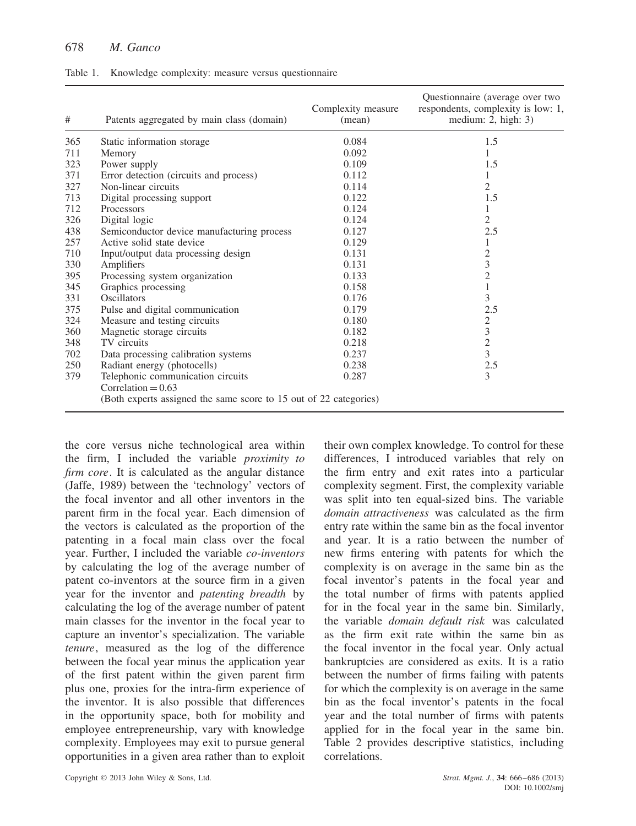#### 678 *M. Ganco*

| #   | Patents aggregated by main class (domain)                         | Complexity measure<br>(mean) | Questionnaire (average over two<br>respondents, complexity is low: 1,<br>medium: $2$ , high: $3$ ) |
|-----|-------------------------------------------------------------------|------------------------------|----------------------------------------------------------------------------------------------------|
| 365 | Static information storage                                        | 0.084                        | 1.5                                                                                                |
| 711 | Memory                                                            | 0.092                        |                                                                                                    |
| 323 | Power supply                                                      | 0.109                        | 1.5                                                                                                |
| 371 | Error detection (circuits and process)                            | 0.112                        | 1                                                                                                  |
| 327 | Non-linear circuits                                               | 0.114                        | $\overline{c}$                                                                                     |
| 713 | Digital processing support                                        | 0.122                        | 1.5                                                                                                |
| 712 | Processors                                                        | 0.124                        | 1                                                                                                  |
| 326 | Digital logic                                                     | 0.124                        | $\overline{c}$                                                                                     |
| 438 | Semiconductor device manufacturing process                        | 0.127                        | 2.5                                                                                                |
| 257 | Active solid state device                                         | 0.129                        | 1                                                                                                  |
| 710 | Input/output data processing design                               | 0.131                        | $\frac{2}{3}$                                                                                      |
| 330 | Amplifiers                                                        | 0.131                        |                                                                                                    |
| 395 | Processing system organization                                    | 0.133                        | $\overline{c}$                                                                                     |
| 345 | Graphics processing                                               | 0.158                        | $\mathbf{1}$                                                                                       |
| 331 | <b>Oscillators</b>                                                | 0.176                        | 3                                                                                                  |
| 375 | Pulse and digital communication                                   | 0.179                        | 2.5                                                                                                |
| 324 | Measure and testing circuits                                      | 0.180                        | $\sqrt{2}$                                                                                         |
| 360 | Magnetic storage circuits                                         | 0.182                        | $\overline{3}$                                                                                     |
| 348 | TV circuits                                                       | 0.218                        | $\overline{c}$                                                                                     |
| 702 | Data processing calibration systems                               | 0.237                        | $\overline{3}$                                                                                     |
| 250 | Radiant energy (photocells)                                       | 0.238                        | $2.5\,$                                                                                            |
| 379 | Telephonic communication circuits<br>Correlation = $0.63$         | 0.287                        | 3                                                                                                  |
|     | (Both experts assigned the same score to 15 out of 22 categories) |                              |                                                                                                    |

Table 1. Knowledge complexity: measure versus questionnaire

the core versus niche technological area within the firm, I included the variable *proximity to firm core*. It is calculated as the angular distance (Jaffe, 1989) between the 'technology' vectors of the focal inventor and all other inventors in the parent firm in the focal year. Each dimension of the vectors is calculated as the proportion of the patenting in a focal main class over the focal year. Further, I included the variable *co-inventors* by calculating the log of the average number of patent co-inventors at the source firm in a given year for the inventor and *patenting breadth* by calculating the log of the average number of patent main classes for the inventor in the focal year to capture an inventor's specialization. The variable *tenure*, measured as the log of the difference between the focal year minus the application year of the first patent within the given parent firm plus one, proxies for the intra-firm experience of the inventor. It is also possible that differences in the opportunity space, both for mobility and employee entrepreneurship, vary with knowledge complexity. Employees may exit to pursue general opportunities in a given area rather than to exploit their own complex knowledge. To control for these differences, I introduced variables that rely on the firm entry and exit rates into a particular complexity segment. First, the complexity variable was split into ten equal-sized bins. The variable *domain attractiveness* was calculated as the firm entry rate within the same bin as the focal inventor and year. It is a ratio between the number of new firms entering with patents for which the complexity is on average in the same bin as the focal inventor's patents in the focal year and the total number of firms with patents applied for in the focal year in the same bin. Similarly, the variable *domain default risk* was calculated as the firm exit rate within the same bin as the focal inventor in the focal year. Only actual bankruptcies are considered as exits. It is a ratio between the number of firms failing with patents for which the complexity is on average in the same bin as the focal inventor's patents in the focal year and the total number of firms with patents applied for in the focal year in the same bin. Table 2 provides descriptive statistics, including correlations.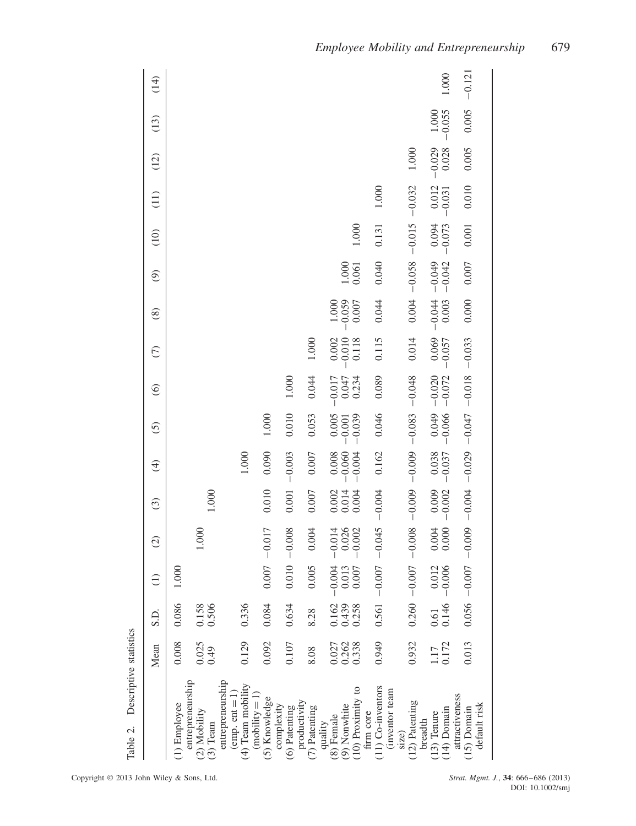| Descriptive statistics<br>Table 2.              |                   |                 |                                                                |                                                                                    |                         |                   |                    |                      |                               |                               |                       |                          |                   |                   |                    |          |
|-------------------------------------------------|-------------------|-----------------|----------------------------------------------------------------|------------------------------------------------------------------------------------|-------------------------|-------------------|--------------------|----------------------|-------------------------------|-------------------------------|-----------------------|--------------------------|-------------------|-------------------|--------------------|----------|
|                                                 | Mean              | S.D.            | $\ominus$                                                      | $\widehat{\odot}$                                                                  | $\odot$                 | $\bigoplus$       | $\odot$            | $\circledcirc$       | $\widehat{C}$                 | $\circledS$                   | $\circledcirc$        | (10)                     | (11)              | (12)              | (13)               | (14)     |
| entrepreneurship<br>$(1)$ Employee              | 0.008             | 0.086           | 1.000                                                          |                                                                                    |                         |                   |                    |                      |                               |                               |                       |                          |                   |                   |                    |          |
| (2) Mobility<br>$(3)$ Team                      | 0.025<br>0.49     | 0.158<br>0.506  |                                                                | 1.000                                                                              | 1.000                   |                   |                    |                      |                               |                               |                       |                          |                   |                   |                    |          |
| entrepreneurship                                |                   |                 |                                                                |                                                                                    |                         |                   |                    |                      |                               |                               |                       |                          |                   |                   |                    |          |
| $(4)$ Team mobility<br>$(emp. ent = 1)$         | 0.129             | 0.336           |                                                                |                                                                                    |                         | 1.000             |                    |                      |                               |                               |                       |                          |                   |                   |                    |          |
| $(mobility = 1)$<br>(5) Knowledge               | 0.092             | 0.084           | 0.007                                                          | $-0.017$                                                                           | 0.010                   | 0.090             | 1.000              |                      |                               |                               |                       |                          |                   |                   |                    |          |
| complexity<br>(6) Patenting                     | 0.107             | 0.634           | 0.010                                                          | $-0.008$                                                                           | 0.001                   | $-0.003$          | 0.010              | 1.000                |                               |                               |                       |                          |                   |                   |                    |          |
| productivity<br>(7) Patenting                   | 8.08              | 8.28            | 0.005                                                          | 0.004                                                                              | 0.007                   | $0.007$           | 0.053              | 0.044                | 1.000                         |                               |                       |                          |                   |                   |                    |          |
| (9) Nonwhite<br>$(8)$ Female<br>quality         | 0.262<br>0.027    |                 | $0.162 - 0.004$                                                | $-0.014$<br>0.026<br>-0.002                                                        | 0.002<br>0.014<br>0.004 | $-0.060$<br>0.008 | $-0.005$<br>-0.001 | $-0.017$             | $-0.002$<br>$-0.010$<br>0.118 | $-0.059$<br>$-0.059$<br>0.007 |                       |                          |                   |                   |                    |          |
| $(10)$ Proximity to                             | 0.338             | 0.439<br>0.258  | $\begin{array}{c} 0.013 \\ 0.007 \end{array}$                  |                                                                                    |                         | $-0.004$          | $-0.039$           | 0.047<br>0.234       |                               |                               | $\frac{1.000}{0.061}$ | 1.000                    |                   |                   |                    |          |
| (11) Co-inventors<br>inventor team<br>firm core | 0.949             | $0.561 - 0.007$ |                                                                | $-0.045$                                                                           | $-0.004$                | 0.162             | 0.046              | 0.089                | 0.115                         | 0.044                         | 0.040                 | 0.131                    | 1.000             |                   |                    |          |
| $(12)$ Patenting<br>breadth<br>size)            | 0.932             | $0.260 - 0.007$ |                                                                | $-0.0000 - 0.0000 - 0.00000 -$                                                     |                         |                   |                    | $-0.048$             | 0.014                         | 0.004                         |                       | $-0.058 - 0.015 - 0.032$ |                   | 1.000             |                    |          |
| $(14)$ Domain<br>$(13)$ Tenure                  | $1.17$<br>$0.172$ |                 | $\begin{array}{cc} 0.61 & 0.012 \\ 0.146 & -0.006 \end{array}$ | $0.004$<br>$0.000$                                                                 | 0.009<br>$-0.002$       | 0.038<br>$-0.037$ | 0.049<br>$-0.066$  | $-0.020$<br>$-0.072$ | 0.069<br>$-0.057$             | $-0.044$                      | $-0.049$<br>$-0.042$  | 0.094<br>$-0.073$        | 0.012<br>$-0.031$ | $-0.029$<br>0.028 | $-0.000$<br>-0.055 | 1.000    |
| attractiveness<br>default risk<br>$(15)$ Domain | 0.013             |                 | $0.056 - 0.007$                                                | ss010-1000-1000-10000-10000-10000-10000-10000-10000-10000-10000-10000-10000-10000- |                         |                   |                    |                      |                               | $0.000$                       | $0.007$               | 0.001                    | 0.010             | 0.005             | 0.005              | $-0.121$ |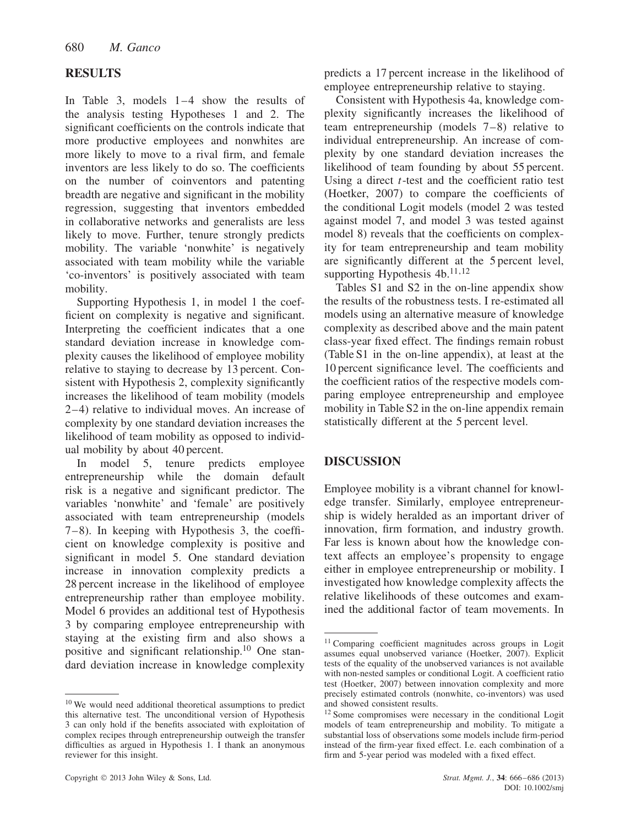# **RESULTS**

In Table 3, models 1–4 show the results of the analysis testing Hypotheses 1 and 2. The significant coefficients on the controls indicate that more productive employees and nonwhites are more likely to move to a rival firm, and female inventors are less likely to do so. The coefficients on the number of coinventors and patenting breadth are negative and significant in the mobility regression, suggesting that inventors embedded in collaborative networks and generalists are less likely to move. Further, tenure strongly predicts mobility. The variable 'nonwhite' is negatively associated with team mobility while the variable 'co-inventors' is positively associated with team mobility.

Supporting Hypothesis 1, in model 1 the coefficient on complexity is negative and significant. Interpreting the coefficient indicates that a one standard deviation increase in knowledge complexity causes the likelihood of employee mobility relative to staying to decrease by 13 percent. Consistent with Hypothesis 2, complexity significantly increases the likelihood of team mobility (models 2–4) relative to individual moves. An increase of complexity by one standard deviation increases the likelihood of team mobility as opposed to individual mobility by about 40 percent.

In model 5, tenure predicts employee entrepreneurship while the domain default risk is a negative and significant predictor. The variables 'nonwhite' and 'female' are positively associated with team entrepreneurship (models 7–8). In keeping with Hypothesis 3, the coefficient on knowledge complexity is positive and significant in model 5. One standard deviation increase in innovation complexity predicts a 28 percent increase in the likelihood of employee entrepreneurship rather than employee mobility. Model 6 provides an additional test of Hypothesis 3 by comparing employee entrepreneurship with staying at the existing firm and also shows a positive and significant relationship.<sup>10</sup> One standard deviation increase in knowledge complexity

predicts a 17 percent increase in the likelihood of employee entrepreneurship relative to staying.

Consistent with Hypothesis 4a, knowledge complexity significantly increases the likelihood of team entrepreneurship (models 7–8) relative to individual entrepreneurship. An increase of complexity by one standard deviation increases the likelihood of team founding by about 55 percent. Using a direct *t*-test and the coefficient ratio test (Hoetker, 2007) to compare the coefficients of the conditional Logit models (model 2 was tested against model 7, and model 3 was tested against model 8) reveals that the coefficients on complexity for team entrepreneurship and team mobility are significantly different at the 5 percent level, supporting Hypothesis  $4b$ .<sup>11,12</sup>

Tables S1 and S2 in the on-line appendix show the results of the robustness tests. I re-estimated all models using an alternative measure of knowledge complexity as described above and the main patent class-year fixed effect. The findings remain robust (Table S1 in the on-line appendix), at least at the 10 percent significance level. The coefficients and the coefficient ratios of the respective models comparing employee entrepreneurship and employee mobility in Table S2 in the on-line appendix remain statistically different at the 5 percent level.

### **DISCUSSION**

Employee mobility is a vibrant channel for knowledge transfer. Similarly, employee entrepreneurship is widely heralded as an important driver of innovation, firm formation, and industry growth. Far less is known about how the knowledge context affects an employee's propensity to engage either in employee entrepreneurship or mobility. I investigated how knowledge complexity affects the relative likelihoods of these outcomes and examined the additional factor of team movements. In

<sup>10</sup> We would need additional theoretical assumptions to predict this alternative test. The unconditional version of Hypothesis 3 can only hold if the benefits associated with exploitation of complex recipes through entrepreneurship outweigh the transfer difficulties as argued in Hypothesis 1. I thank an anonymous reviewer for this insight.

<sup>&</sup>lt;sup>11</sup> Comparing coefficient magnitudes across groups in Logit assumes equal unobserved variance (Hoetker, 2007). Explicit tests of the equality of the unobserved variances is not available with non-nested samples or conditional Logit. A coefficient ratio test (Hoetker, 2007) between innovation complexity and more precisely estimated controls (nonwhite, co-inventors) was used and showed consistent results.

<sup>12</sup> Some compromises were necessary in the conditional Logit models of team entrepreneurship and mobility. To mitigate a substantial loss of observations some models include firm-period instead of the firm-year fixed effect. I.e. each combination of a firm and 5-year period was modeled with a fixed effect.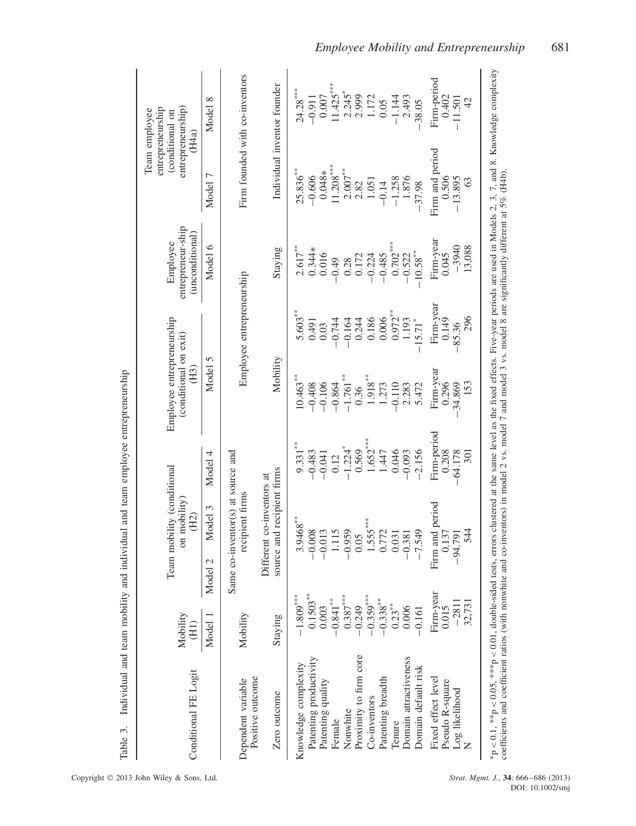| Conditional FE Logit                                                                                                                                                                                  | Mobility<br>$\left($ HI)                |                      | Team mobility (conditional<br>on mobility)<br>(H2)      |                                          | Employee entrepreneurship<br>(conditional on exit)<br>(H3) |                                    | entrepreneur-ship<br>(unconditional)<br>Employee | entrepreneurship<br>entrepreneurship)<br>Team employee<br>(conditional on<br>(H4a) |                                         |
|-------------------------------------------------------------------------------------------------------------------------------------------------------------------------------------------------------|-----------------------------------------|----------------------|---------------------------------------------------------|------------------------------------------|------------------------------------------------------------|------------------------------------|--------------------------------------------------|------------------------------------------------------------------------------------|-----------------------------------------|
|                                                                                                                                                                                                       | Model 1                                 | Model 2              | Model 3                                                 | 4<br>Model                               | Model 5                                                    |                                    | Model 6                                          | Model 7                                                                            | Model 8                                 |
| Positive outcome<br>Dependent variable                                                                                                                                                                | Mobility                                | Same                 | co-inventor(s) at source and<br>recipient firms         |                                          |                                                            | Employee entrepreneurship          |                                                  | Firm founded with co-inventors                                                     |                                         |
| Zero outcome                                                                                                                                                                                          | Staying                                 |                      | source and recipient firms<br>Different co-inventors at |                                          | Mobility                                                   |                                    | Staying                                          | Individual inventor founder                                                        |                                         |
| Patenting productivity<br>Knowledge complexity                                                                                                                                                        | $0.1503***$<br>$-1.809***$              | $-0.008$             | $3.9468***$                                             | $9.331***$<br>$-0.483$                   | $10.463***$<br>$-0.408$                                    | $5.603***$<br>0.491                | $2.617***$<br>$0.344*$                           | $25.836***$<br>$-0.606$                                                            | $24.28***$<br>$-0.911$                  |
| Patenting quality<br>Female                                                                                                                                                                           | $-0.841***$<br>0.003                    | $-0.013$             | 1.115                                                   | $-0.041$<br>0.12                         | $-0.106$<br>$-0.864$                                       | $-0.744$<br>0.03                   | 0.016<br>$-0.49$                                 | $11.208***$<br>$0.048*$                                                            | $11.425***$<br>0.007                    |
| Proximity to firm core<br>Nonwhite                                                                                                                                                                    | $0.387***$<br>$-0.249$                  | $-0.959$             | 0.05                                                    | $-1.224$ <sup>*</sup><br>0.569           | $-1.761***$<br>0.36                                        | $-0.164$<br>0.244                  | 0.172<br>0.28                                    | $2.007***$<br>2.82                                                                 | $2.245$ <sup>*</sup><br>2.999           |
| Co-inventors                                                                                                                                                                                          | $-0.359***$<br>$-0.338***$              |                      | $1.555***$<br>0.772                                     | $1.652***$<br>1.447                      | $1.918^{\ast\ast}$<br>1.273                                | 0.186                              | $-0.224$                                         | 1.051                                                                              | 1.172<br>0.05                           |
| Patenting breadth<br>Tenure                                                                                                                                                                           | $0.23***$                               |                      | 0.031                                                   | 0.046                                    | $-0.110$                                                   | $0.972***$<br>0.006                | $0.702***$<br>$-0.485$                           | $-1.258$<br>$-0.14$                                                                | $-1.144$                                |
| Domain attractiveness<br>Domain default risk                                                                                                                                                          | 0.006<br>$-0.161$                       | $-7.549$<br>$-0.381$ |                                                         | $-2.156$<br>$-0.093$                     | 2.283<br>5.472                                             | 1.193<br>$-15.71$ <sup>*</sup>     | $-10.58***$<br>$-0.522$                          | 1.876<br>$-37.98$                                                                  | 2.493<br>$-38.05$                       |
| Fixed effect level<br>Pseudo R-square<br>Log likelihood                                                                                                                                               | Firm-year<br>$-2811$<br>32,731<br>0.015 | 0.137<br>$-94.791$   | Firm and period<br>544                                  | Firm-period<br>0.208<br>$-64.178$<br>301 | Firm-year<br>0.296<br>153<br>34.869                        | Firm-year<br>296<br>0.149<br>85.36 | Firm-year<br>$-3940$<br>13,088<br>0.045          | Firm and period<br>0.506<br>$-13.895$<br>63                                        | Firm-period<br>0.402<br>$-11.501$<br>42 |
| $*_{p}$ < 0.1, $*_{p}$ < 0.05, $*_{p}$ < 0.01, double-sided tests, errors clustered at the same level as the fixed effects. Five-year periods are used in Models 2, 3, 7, and 8. Knowledge complexity |                                         |                      |                                                         |                                          |                                                            |                                    |                                                  |                                                                                    |                                         |

Table 3. Individual and team mobility and individual and team employee entrepreneurship Table 3. Individual and team mobility and individual and team employee entrepreneurship coefficients and coefficient ratios (with nonwhite and co-inventors) in model 2 vs. model 7 and model 8 vs. model 8 are significantly different at 5% (H4b).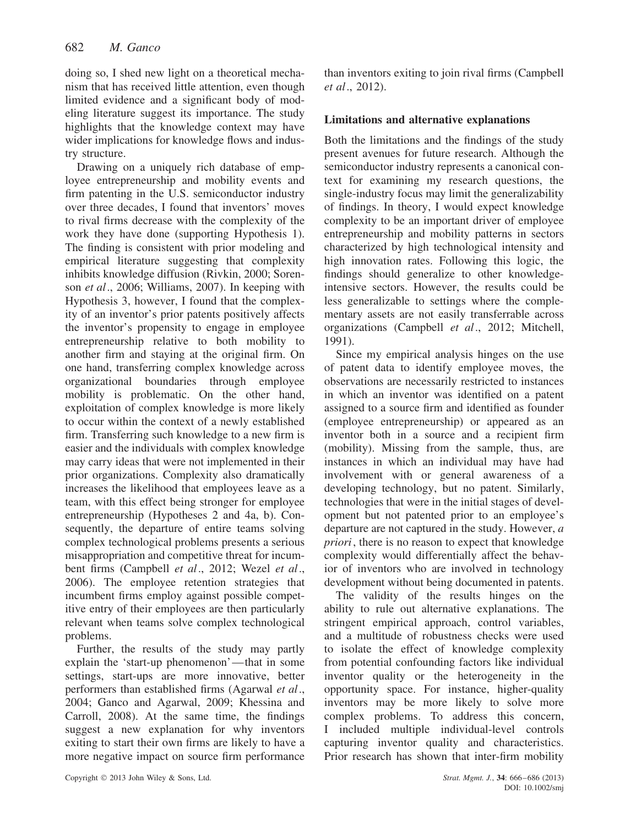doing so, I shed new light on a theoretical mechanism that has received little attention, even though limited evidence and a significant body of modeling literature suggest its importance. The study highlights that the knowledge context may have wider implications for knowledge flows and industry structure.

Drawing on a uniquely rich database of employee entrepreneurship and mobility events and firm patenting in the U.S. semiconductor industry over three decades, I found that inventors' moves to rival firms decrease with the complexity of the work they have done (supporting Hypothesis 1). The finding is consistent with prior modeling and empirical literature suggesting that complexity inhibits knowledge diffusion (Rivkin, 2000; Sorenson *et al*., 2006; Williams, 2007). In keeping with Hypothesis 3, however, I found that the complexity of an inventor's prior patents positively affects the inventor's propensity to engage in employee entrepreneurship relative to both mobility to another firm and staying at the original firm. On one hand, transferring complex knowledge across organizational boundaries through employee mobility is problematic. On the other hand, exploitation of complex knowledge is more likely to occur within the context of a newly established firm. Transferring such knowledge to a new firm is easier and the individuals with complex knowledge may carry ideas that were not implemented in their prior organizations. Complexity also dramatically increases the likelihood that employees leave as a team, with this effect being stronger for employee entrepreneurship (Hypotheses 2 and 4a, b). Consequently, the departure of entire teams solving complex technological problems presents a serious misappropriation and competitive threat for incumbent firms (Campbell *et al*., 2012; Wezel *et al*., 2006). The employee retention strategies that incumbent firms employ against possible competitive entry of their employees are then particularly relevant when teams solve complex technological problems.

Further, the results of the study may partly explain the 'start-up phenomenon'—that in some settings, start-ups are more innovative, better performers than established firms (Agarwal *et al*., 2004; Ganco and Agarwal, 2009; Khessina and Carroll, 2008). At the same time, the findings suggest a new explanation for why inventors exiting to start their own firms are likely to have a more negative impact on source firm performance than inventors exiting to join rival firms (Campbell *et al*., 2012).

### **Limitations and alternative explanations**

Both the limitations and the findings of the study present avenues for future research. Although the semiconductor industry represents a canonical context for examining my research questions, the single-industry focus may limit the generalizability of findings. In theory, I would expect knowledge complexity to be an important driver of employee entrepreneurship and mobility patterns in sectors characterized by high technological intensity and high innovation rates. Following this logic, the findings should generalize to other knowledgeintensive sectors. However, the results could be less generalizable to settings where the complementary assets are not easily transferrable across organizations (Campbell *et al*., 2012; Mitchell, 1991).

Since my empirical analysis hinges on the use of patent data to identify employee moves, the observations are necessarily restricted to instances in which an inventor was identified on a patent assigned to a source firm and identified as founder (employee entrepreneurship) or appeared as an inventor both in a source and a recipient firm (mobility). Missing from the sample, thus, are instances in which an individual may have had involvement with or general awareness of a developing technology, but no patent. Similarly, technologies that were in the initial stages of development but not patented prior to an employee's departure are not captured in the study. However, *a priori*, there is no reason to expect that knowledge complexity would differentially affect the behavior of inventors who are involved in technology development without being documented in patents.

The validity of the results hinges on the ability to rule out alternative explanations. The stringent empirical approach, control variables, and a multitude of robustness checks were used to isolate the effect of knowledge complexity from potential confounding factors like individual inventor quality or the heterogeneity in the opportunity space. For instance, higher-quality inventors may be more likely to solve more complex problems. To address this concern, I included multiple individual-level controls capturing inventor quality and characteristics. Prior research has shown that inter-firm mobility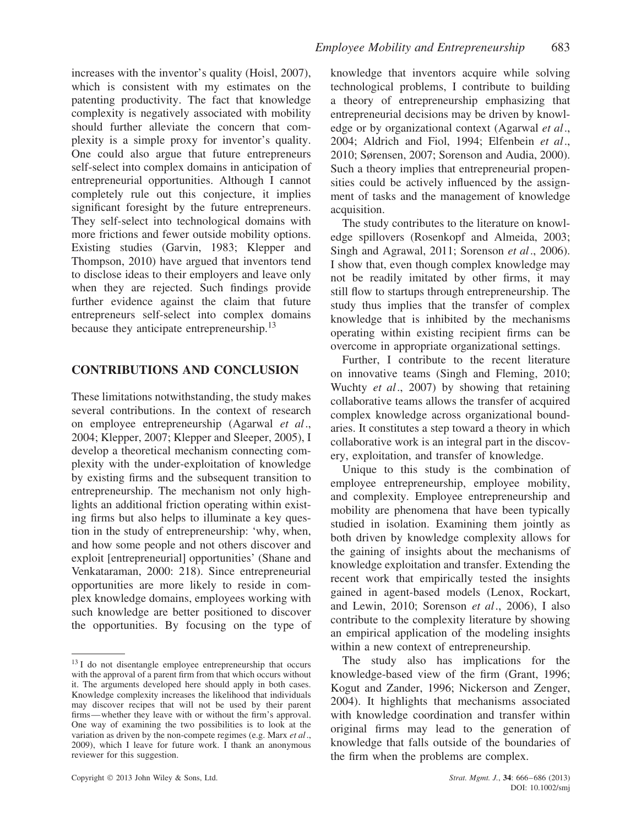increases with the inventor's quality (Hoisl, 2007), which is consistent with my estimates on the patenting productivity. The fact that knowledge complexity is negatively associated with mobility should further alleviate the concern that complexity is a simple proxy for inventor's quality. One could also argue that future entrepreneurs self-select into complex domains in anticipation of entrepreneurial opportunities. Although I cannot completely rule out this conjecture, it implies significant foresight by the future entrepreneurs. They self-select into technological domains with more frictions and fewer outside mobility options. Existing studies (Garvin, 1983; Klepper and Thompson, 2010) have argued that inventors tend to disclose ideas to their employers and leave only when they are rejected. Such findings provide further evidence against the claim that future entrepreneurs self-select into complex domains because they anticipate entrepreneurship.<sup>13</sup>

## **CONTRIBUTIONS AND CONCLUSION**

These limitations notwithstanding, the study makes several contributions. In the context of research on employee entrepreneurship (Agarwal *et al*., 2004; Klepper, 2007; Klepper and Sleeper, 2005), I develop a theoretical mechanism connecting complexity with the under-exploitation of knowledge by existing firms and the subsequent transition to entrepreneurship. The mechanism not only highlights an additional friction operating within existing firms but also helps to illuminate a key question in the study of entrepreneurship: 'why, when, and how some people and not others discover and exploit [entrepreneurial] opportunities' (Shane and Venkataraman, 2000: 218). Since entrepreneurial opportunities are more likely to reside in complex knowledge domains, employees working with such knowledge are better positioned to discover the opportunities. By focusing on the type of knowledge that inventors acquire while solving technological problems, I contribute to building a theory of entrepreneurship emphasizing that entrepreneurial decisions may be driven by knowledge or by organizational context (Agarwal *et al*., 2004; Aldrich and Fiol, 1994; Elfenbein *et al*., 2010; Sørensen, 2007; Sorenson and Audia, 2000). Such a theory implies that entrepreneurial propensities could be actively influenced by the assignment of tasks and the management of knowledge acquisition.

The study contributes to the literature on knowledge spillovers (Rosenkopf and Almeida, 2003; Singh and Agrawal, 2011; Sorenson *et al*., 2006). I show that, even though complex knowledge may not be readily imitated by other firms, it may still flow to startups through entrepreneurship. The study thus implies that the transfer of complex knowledge that is inhibited by the mechanisms operating within existing recipient firms can be overcome in appropriate organizational settings.

Further, I contribute to the recent literature on innovative teams (Singh and Fleming, 2010; Wuchty *et al*., 2007) by showing that retaining collaborative teams allows the transfer of acquired complex knowledge across organizational boundaries. It constitutes a step toward a theory in which collaborative work is an integral part in the discovery, exploitation, and transfer of knowledge.

Unique to this study is the combination of employee entrepreneurship, employee mobility, and complexity. Employee entrepreneurship and mobility are phenomena that have been typically studied in isolation. Examining them jointly as both driven by knowledge complexity allows for the gaining of insights about the mechanisms of knowledge exploitation and transfer. Extending the recent work that empirically tested the insights gained in agent-based models (Lenox, Rockart, and Lewin, 2010; Sorenson *et al*., 2006), I also contribute to the complexity literature by showing an empirical application of the modeling insights within a new context of entrepreneurship.

The study also has implications for the knowledge-based view of the firm (Grant, 1996; Kogut and Zander, 1996; Nickerson and Zenger, 2004). It highlights that mechanisms associated with knowledge coordination and transfer within original firms may lead to the generation of knowledge that falls outside of the boundaries of the firm when the problems are complex.

 $13$  I do not disentangle employee entrepreneurship that occurs with the approval of a parent firm from that which occurs without it. The arguments developed here should apply in both cases. Knowledge complexity increases the likelihood that individuals may discover recipes that will not be used by their parent firms—whether they leave with or without the firm's approval. One way of examining the two possibilities is to look at the variation as driven by the non-compete regimes (e.g. Marx *et al*., 2009), which I leave for future work. I thank an anonymous reviewer for this suggestion.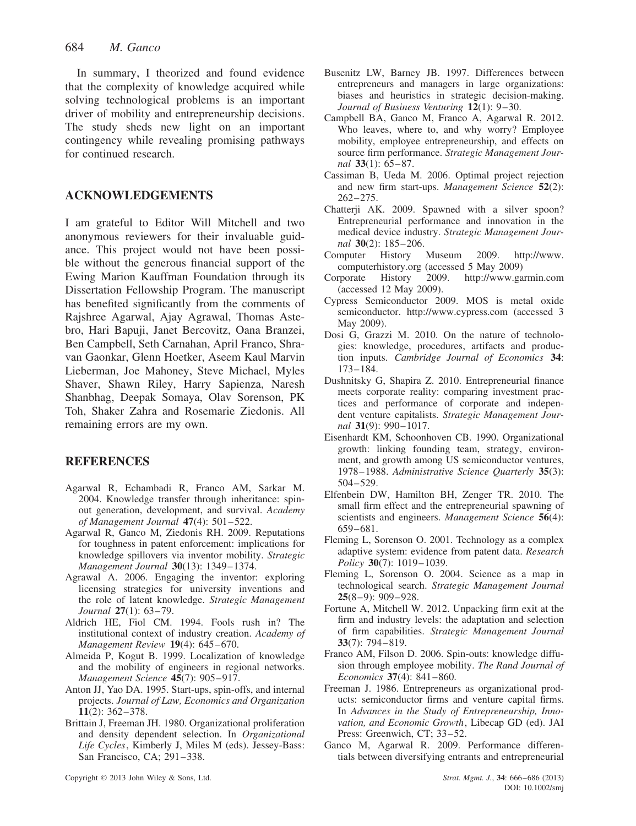In summary, I theorized and found evidence that the complexity of knowledge acquired while solving technological problems is an important driver of mobility and entrepreneurship decisions. The study sheds new light on an important contingency while revealing promising pathways for continued research.

### **ACKNOWLEDGEMENTS**

I am grateful to Editor Will Mitchell and two anonymous reviewers for their invaluable guidance. This project would not have been possible without the generous financial support of the Ewing Marion Kauffman Foundation through its Dissertation Fellowship Program. The manuscript has benefited significantly from the comments of Rajshree Agarwal, Ajay Agrawal, Thomas Astebro, Hari Bapuji, Janet Bercovitz, Oana Branzei, Ben Campbell, Seth Carnahan, April Franco, Shravan Gaonkar, Glenn Hoetker, Aseem Kaul Marvin Lieberman, Joe Mahoney, Steve Michael, Myles Shaver, Shawn Riley, Harry Sapienza, Naresh Shanbhag, Deepak Somaya, Olav Sorenson, PK Toh, Shaker Zahra and Rosemarie Ziedonis. All remaining errors are my own.

#### **REFERENCES**

- Agarwal R, Echambadi R, Franco AM, Sarkar M. 2004. Knowledge transfer through inheritance: spinout generation, development, and survival. *Academy of Management Journal* **47**(4): 501–522.
- Agarwal R, Ganco M, Ziedonis RH. 2009. Reputations for toughness in patent enforcement: implications for knowledge spillovers via inventor mobility. *Strategic Management Journal* **30**(13): 1349–1374.
- Agrawal A. 2006. Engaging the inventor: exploring licensing strategies for university inventions and the role of latent knowledge. *Strategic Management Journal* **27**(1): 63–79.
- Aldrich HE, Fiol CM. 1994. Fools rush in? The institutional context of industry creation. *Academy of Management Review* **19**(4): 645–670.
- Almeida P, Kogut B. 1999. Localization of knowledge and the mobility of engineers in regional networks. *Management Science* **45**(7): 905–917.
- Anton JJ, Yao DA. 1995. Start-ups, spin-offs, and internal projects. *Journal of Law, Economics and Organization* **11**(2): 362–378.
- Brittain J, Freeman JH. 1980. Organizational proliferation and density dependent selection. In *Organizational Life Cycles*, Kimberly J, Miles M (eds). Jessey-Bass: San Francisco, CA; 291–338.
- Busenitz LW, Barney JB. 1997. Differences between entrepreneurs and managers in large organizations: biases and heuristics in strategic decision-making. *Journal of Business Venturing* **12**(1): 9–30.
- Campbell BA, Ganco M, Franco A, Agarwal R. 2012. Who leaves, where to, and why worry? Employee mobility, employee entrepreneurship, and effects on source firm performance. *Strategic Management Journal* **33**(1): 65–87.
- Cassiman B, Ueda M. 2006. Optimal project rejection and new firm start-ups. *Management Science* **52**(2): 262–275.
- Chatterji AK. 2009. Spawned with a silver spoon? Entrepreneurial performance and innovation in the medical device industry. *Strategic Management Journal* **30**(2): 185–206.
- Computer History Museum 2009. http://www. computerhistory.org (accessed 5 May 2009)
- Corporate History 2009. http://www.garmin.com (accessed 12 May 2009).
- Cypress Semiconductor 2009. MOS is metal oxide semiconductor. http://www.cypress.com (accessed 3 May 2009).
- Dosi G, Grazzi M. 2010. On the nature of technologies: knowledge, procedures, artifacts and production inputs. *Cambridge Journal of Economics* **34**: 173–184.
- Dushnitsky G, Shapira Z. 2010. Entrepreneurial finance meets corporate reality: comparing investment practices and performance of corporate and independent venture capitalists. *Strategic Management Journal* **31**(9): 990–1017.
- Eisenhardt KM, Schoonhoven CB. 1990. Organizational growth: linking founding team, strategy, environment, and growth among US semiconductor ventures, 1978–1988. *Administrative Science Quarterly* **35**(3): 504–529.
- Elfenbein DW, Hamilton BH, Zenger TR. 2010. The small firm effect and the entrepreneurial spawning of scientists and engineers. *Management Science* **56**(4): 659–681.
- Fleming L, Sorenson O. 2001. Technology as a complex adaptive system: evidence from patent data. *Research Policy* **30**(7): 1019–1039.
- Fleming L, Sorenson O. 2004. Science as a map in technological search. *Strategic Management Journal* **25**(8–9): 909–928.
- Fortune A, Mitchell W. 2012. Unpacking firm exit at the firm and industry levels: the adaptation and selection of firm capabilities. *Strategic Management Journal* **33**(7): 794–819.
- Franco AM, Filson D. 2006. Spin-outs: knowledge diffusion through employee mobility. *The Rand Journal of Economics* **37**(4): 841–860.
- Freeman J. 1986. Entrepreneurs as organizational products: semiconductor firms and venture capital firms. In *Advances in the Study of Entrepreneurship, Innovation, and Economic Growth*, Libecap GD (ed). JAI Press: Greenwich, CT; 33–52.
- Ganco M, Agarwal R. 2009. Performance differentials between diversifying entrants and entrepreneurial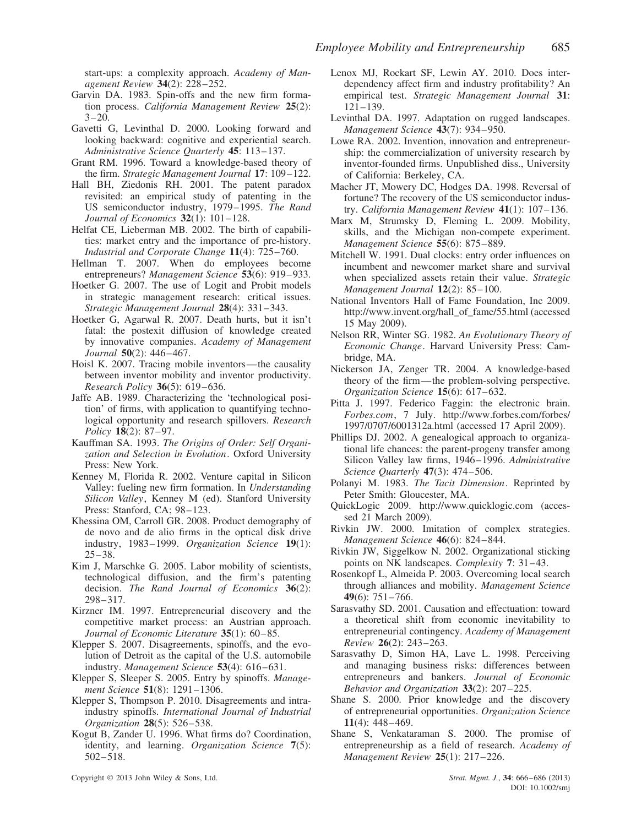start-ups: a complexity approach. *Academy of Management Review* **34**(2): 228–252.

- Garvin DA. 1983. Spin-offs and the new firm formation process. *California Management Review* **25**(2):  $3 - 20.$
- Gavetti G, Levinthal D. 2000. Looking forward and looking backward: cognitive and experiential search. *Administrative Science Quarterly* **45**: 113–137.
- Grant RM. 1996. Toward a knowledge-based theory of the firm. *Strategic Management Journal* **17**: 109–122.
- Hall BH, Ziedonis RH. 2001. The patent paradox revisited: an empirical study of patenting in the US semiconductor industry, 1979–1995. *The Rand Journal of Economics* **32**(1): 101–128.
- Helfat CE, Lieberman MB. 2002. The birth of capabilities: market entry and the importance of pre-history. *Industrial and Corporate Change* **11**(4): 725–760.
- Hellman T. 2007. When do employees become entrepreneurs? *Management Science* **53**(6): 919–933.
- Hoetker G. 2007. The use of Logit and Probit models in strategic management research: critical issues. *Strategic Management Journal* **28**(4): 331–343.
- Hoetker G, Agarwal R. 2007. Death hurts, but it isn't fatal: the postexit diffusion of knowledge created by innovative companies. *Academy of Management Journal* **50**(2): 446–467.
- Hoisl K. 2007. Tracing mobile inventors—the causality between inventor mobility and inventor productivity. *Research Policy* **36**(5): 619–636.
- Jaffe AB. 1989. Characterizing the 'technological position' of firms, with application to quantifying technological opportunity and research spillovers. *Research Policy* **18**(2): 87–97.
- Kauffman SA. 1993. *The Origins of Order: Self Organization and Selection in Evolution*. Oxford University Press: New York.
- Kenney M, Florida R. 2002. Venture capital in Silicon Valley: fueling new firm formation. In *Understanding Silicon Valley*, Kenney M (ed). Stanford University Press: Stanford, CA; 98–123.
- Khessina OM, Carroll GR. 2008. Product demography of de novo and de alio firms in the optical disk drive industry, 1983–1999. *Organization Science* **19**(1):  $25 - 38.$
- Kim J, Marschke G. 2005. Labor mobility of scientists, technological diffusion, and the firm's patenting decision. *The Rand Journal of Economics* **36**(2): 298–317.
- Kirzner IM. 1997. Entrepreneurial discovery and the competitive market process: an Austrian approach. *Journal of Economic Literature* **35**(1): 60–85.
- Klepper S. 2007. Disagreements, spinoffs, and the evolution of Detroit as the capital of the U.S. automobile industry. *Management Science* **53**(4): 616–631.
- Klepper S, Sleeper S. 2005. Entry by spinoffs. *Management Science* **51**(8): 1291–1306.
- Klepper S, Thompson P. 2010. Disagreements and intraindustry spinoffs. *International Journal of Industrial Organization* **28**(5): 526–538.
- Kogut B, Zander U. 1996. What firms do? Coordination, identity, and learning. *Organization Science* **7**(5): 502–518.
- Lenox MJ, Rockart SF, Lewin AY. 2010. Does interdependency affect firm and industry profitability? An empirical test. *Strategic Management Journal* **31**: 121–139.
- Levinthal DA. 1997. Adaptation on rugged landscapes. *Management Science* **43**(7): 934–950.
- Lowe RA. 2002. Invention, innovation and entrepreneurship: the commercialization of university research by inventor-founded firms. Unpublished diss., University of California: Berkeley, CA.
- Macher JT, Mowery DC, Hodges DA. 1998. Reversal of fortune? The recovery of the US semiconductor industry. *California Management Review* **41**(1): 107–136.
- Marx M, Strumsky D, Fleming L. 2009. Mobility, skills, and the Michigan non-compete experiment. *Management Science* **55**(6): 875–889.
- Mitchell W. 1991. Dual clocks: entry order influences on incumbent and newcomer market share and survival when specialized assets retain their value. *Strategic Management Journal* **12**(2): 85–100.
- National Inventors Hall of Fame Foundation, Inc 2009. http://www.invent.org/hall\_of\_fame/55.html (accessed 15 May 2009).
- Nelson RR, Winter SG. 1982. *An Evolutionary Theory of Economic Change*. Harvard University Press: Cambridge, MA.
- Nickerson JA, Zenger TR. 2004. A knowledge-based theory of the firm—the problem-solving perspective. *Organization Science* **15**(6): 617–632.
- Pitta J. 1997. Federico Faggin: the electronic brain. *Forbes.com*, 7 July. http://www.forbes.com/forbes/ 1997/0707/6001312a.html (accessed 17 April 2009).
- Phillips DJ. 2002. A genealogical approach to organizational life chances: the parent-progeny transfer among Silicon Valley law firms, 1946–1996. *Administrative Science Quarterly* **47**(3): 474–506.
- Polanyi M. 1983. *The Tacit Dimension*. Reprinted by Peter Smith: Gloucester, MA.
- QuickLogic 2009. http://www.quicklogic.com (accessed 21 March 2009).
- Rivkin JW. 2000. Imitation of complex strategies. *Management Science* **46**(6): 824–844.
- Rivkin JW, Siggelkow N. 2002. Organizational sticking points on NK landscapes. *Complexity* **7**: 31–43.
- Rosenkopf L, Almeida P. 2003. Overcoming local search through alliances and mobility. *Management Science* **49**(6): 751–766.
- Sarasvathy SD. 2001. Causation and effectuation: toward a theoretical shift from economic inevitability to entrepreneurial contingency. *Academy of Management Review* **26**(2): 243–263.
- Sarasvathy D, Simon HA, Lave L. 1998. Perceiving and managing business risks: differences between entrepreneurs and bankers. *Journal of Economic Behavior and Organization* **33**(2): 207–225.
- Shane S. 2000. Prior knowledge and the discovery of entrepreneurial opportunities. *Organization Science* **11**(4): 448–469.
- Shane S, Venkataraman S. 2000. The promise of entrepreneurship as a field of research. *Academy of Management Review* **25**(1): 217–226.